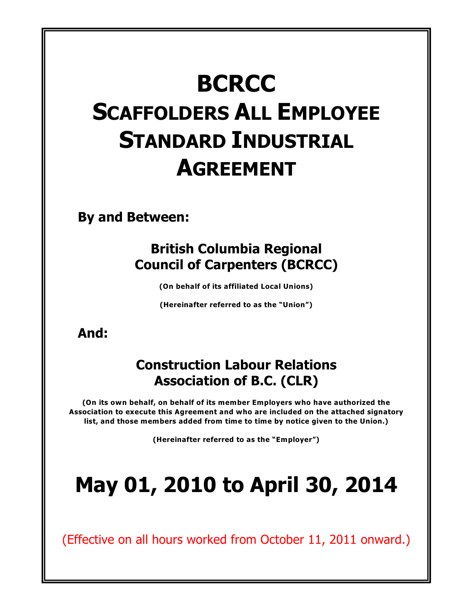# **BCRCC SCAFFOLDERS ALL EMPLOYEE STANDARD INDUSTRIAL AGREEMENT**

**By and Between:**

## **British Columbia Regional Council of Carpenters (BCRCC)**

**(On behalf of its affiliated Local Unions)**

**(Hereinafter referred to as the "Union")**

## **And:**

## **Construction Labour Relations Association of B.C. (CLR)**

**(On its own behalf, on behalf of its member Employers who have authorized the Association to execute this Agreement and who are included on the attached signatory list, and those members added from time to time by notice given to the Union.)**

**(Hereinafter referred to as the "Employer")**

# **May 01, 2010 to April 30, 2014**

(Effective on all hours worked from October 11, 2011 onward.)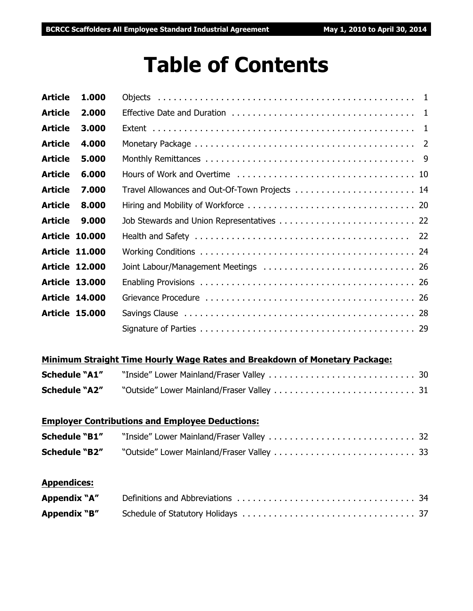# **Table of Contents**

| <b>Article</b> | 1.000                 |  |
|----------------|-----------------------|--|
| <b>Article</b> | 2.000                 |  |
| <b>Article</b> | 3.000                 |  |
| <b>Article</b> | 4.000                 |  |
| <b>Article</b> | 5.000                 |  |
| <b>Article</b> | 6.000                 |  |
| <b>Article</b> | 7.000                 |  |
| <b>Article</b> | 8.000                 |  |
| <b>Article</b> | 9.000                 |  |
|                | <b>Article 10.000</b> |  |
|                | <b>Article 11.000</b> |  |
|                | <b>Article 12,000</b> |  |
|                | <b>Article 13.000</b> |  |
|                | <b>Article 14.000</b> |  |
|                | <b>Article 15,000</b> |  |
|                |                       |  |

#### **Minimum Straight Time Hourly Wage Rates and Breakdown of Monetary Package:**

| <b>Schedule "A1"</b> |  |
|----------------------|--|
| <b>Schedule "A2"</b> |  |

### **Employer Contributions and Employee Deductions:**

| <b>Schedule "B1"</b> |  |
|----------------------|--|
|                      |  |

#### **Appendices:**

| Appendix "A" |  |
|--------------|--|
| Appendix "B" |  |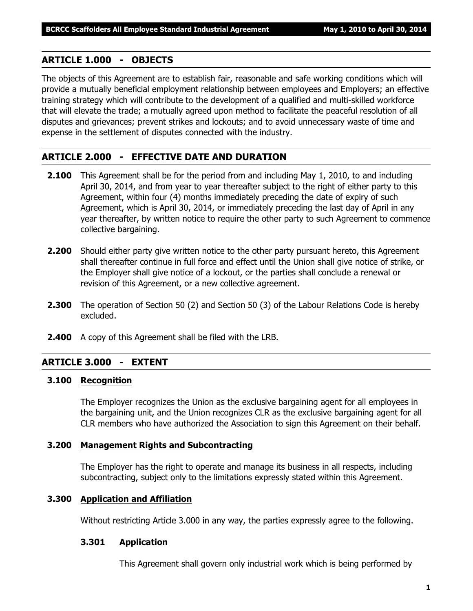### **ARTICLE 1.000 - OBJECTS**

The objects of this Agreement are to establish fair, reasonable and safe working conditions which will provide a mutually beneficial employment relationship between employees and Employers; an effective training strategy which will contribute to the development of a qualified and multi-skilled workforce that will elevate the trade; a mutually agreed upon method to facilitate the peaceful resolution of all disputes and grievances; prevent strikes and lockouts; and to avoid unnecessary waste of time and expense in the settlement of disputes connected with the industry.

### **ARTICLE 2.000 - EFFECTIVE DATE AND DURATION**

- **2.100** This Agreement shall be for the period from and including May 1, 2010, to and including April 30, 2014, and from year to year thereafter subject to the right of either party to this Agreement, within four (4) months immediately preceding the date of expiry of such Agreement, which is April 30, 2014, or immediately preceding the last day of April in any year thereafter, by written notice to require the other party to such Agreement to commence collective bargaining.
- **2.200** Should either party give written notice to the other party pursuant hereto, this Agreement shall thereafter continue in full force and effect until the Union shall give notice of strike, or the Employer shall give notice of a lockout, or the parties shall conclude a renewal or revision of this Agreement, or a new collective agreement.
- **2.300** The operation of Section 50 (2) and Section 50 (3) of the *Labour Relations Code* is hereby excluded.
- **2.400** A copy of this Agreement shall be filed with the LRB.

### **ARTICLE 3.000 - EXTENT**

#### **3.100 Recognition**

The Employer recognizes the Union as the exclusive bargaining agent for all employees in the bargaining unit, and the Union recognizes CLR as the exclusive bargaining agent for all CLR members who have authorized the Association to sign this Agreement on their behalf.

#### **3.200 Management Rights and Subcontracting**

The Employer has the right to operate and manage its business in all respects, including subcontracting, subject only to the limitations expressly stated within this Agreement.

#### **3.300 Application and Affiliation**

Without restricting Article 3.000 in any way, the parties expressly agree to the following.

#### **3.301 Application**

This Agreement shall govern only industrial work which is being performed by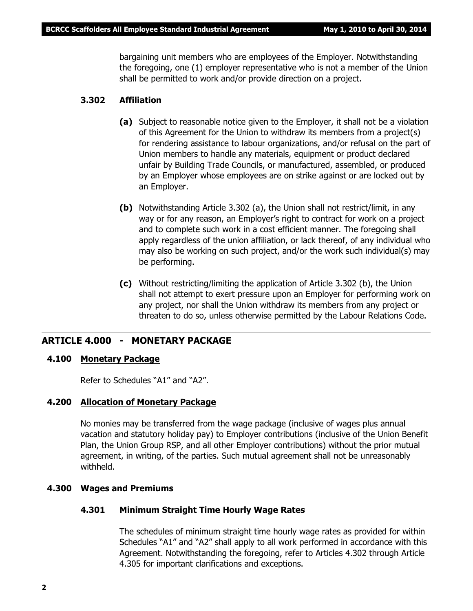bargaining unit members who are employees of the Employer. Notwithstanding the foregoing, one (1) employer representative who is not a member of the Union shall be permitted to work and/or provide direction on a project.

#### **3.302 Affiliation**

- **(a)** Subject to reasonable notice given to the Employer, it shall not be a violation of this Agreement for the Union to withdraw its members from a project(s) for rendering assistance to labour organizations, and/or refusal on the part of Union members to handle any materials, equipment or product declared unfair by Building Trade Councils, or manufactured, assembled, or produced by an Employer whose employees are on strike against or are locked out by an Employer.
- **(b)** Notwithstanding Article 3.302 (a), the Union shall not restrict/limit, in any way or for any reason, an Employer's right to contract for work on a project and to complete such work in a cost efficient manner. The foregoing shall apply regardless of the union affiliation, or lack thereof, of any individual who may also be working on such project, and/or the work such individual(s) may be performing.
- **(c)** Without restricting/limiting the application of Article 3.302 (b), the Union shall not attempt to exert pressure upon an Employer for performing work on any project, nor shall the Union withdraw its members from any project or threaten to do so, unless otherwise permitted by the *Labour Relations Code*.

#### **ARTICLE 4.000 - MONETARY PACKAGE**

#### **4.100 Monetary Package**

Refer to Schedules "A1" and "A2".

#### **4.200 Allocation of Monetary Package**

No monies may be transferred from the wage package (inclusive of wages plus annual vacation and statutory holiday pay) to Employer contributions (inclusive of the Union Benefit Plan, the Union Group RSP, and all other Employer contributions) without the prior mutual agreement, in writing, of the parties. Such mutual agreement shall not be unreasonably withheld.

#### **4.300 Wages and Premiums**

#### **4.301 Minimum Straight Time Hourly Wage Rates**

The schedules of minimum straight time hourly wage rates as provided for within Schedules "A1" and "A2" shall apply to all work performed in accordance with this Agreement. Notwithstanding the foregoing, refer to Articles 4.302 through Article 4.305 for important clarifications and exceptions.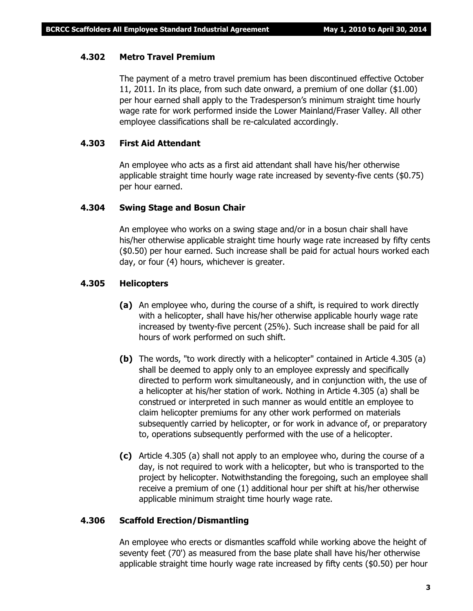#### **4.302 Metro Travel Premium**

The payment of a metro travel premium has been discontinued effective October 11, 2011. In its place, from such date onward, a premium of one dollar (\$1.00) per hour earned shall apply to the Tradesperson's minimum straight time hourly wage rate for work performed inside the Lower Mainland/Fraser Valley. All other employee classifications shall be re-calculated accordingly.

#### **4.303 First Aid Attendant**

An employee who acts as a first aid attendant shall have his/her otherwise applicable straight time hourly wage rate increased by seventy-five cents (\$0.75) per hour earned.

#### **4.304 Swing Stage and Bosun Chair**

An employee who works on a swing stage and/or in a bosun chair shall have his/her otherwise applicable straight time hourly wage rate increased by fifty cents (\$0.50) per hour earned. Such increase shall be paid for actual hours worked each day, or four (4) hours, whichever is greater.

#### **4.305 Helicopters**

- **(a)** An employee who, during the course of a shift, is required to work directly with a helicopter, shall have his/her otherwise applicable hourly wage rate increased by twenty-five percent (25%). Such increase shall be paid for all hours of work performed on such shift.
- **(b)** The words, "to work directly with a helicopter" contained in Article 4.305 (a) shall be deemed to apply only to an employee expressly and specifically directed to perform work simultaneously, and in conjunction with, the use of a helicopter at his/her station of work. Nothing in Article 4.305 (a) shall be construed or interpreted in such manner as would entitle an employee to claim helicopter premiums for any other work performed on materials subsequently carried by helicopter, or for work in advance of, or preparatory to, operations subsequently performed with the use of a helicopter.
- **(c)** Article 4.305 (a) shall not apply to an employee who, during the course of a day, is not required to work with a helicopter, but who is transported to the project by helicopter. Notwithstanding the foregoing, such an employee shall receive a premium of one (1) additional hour per shift at his/her otherwise applicable minimum straight time hourly wage rate.

#### **4.306 Scaffold Erection/Dismantling**

An employee who erects or dismantles scaffold while working above the height of seventy feet (70') as measured from the base plate shall have his/her otherwise applicable straight time hourly wage rate increased by fifty cents (\$0.50) per hour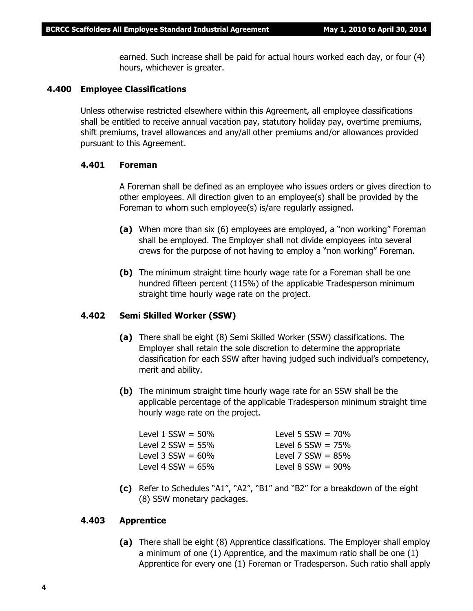earned. Such increase shall be paid for actual hours worked each day, or four (4) hours, whichever is greater.

#### **4.400 Employee Classifications**

Unless otherwise restricted elsewhere within this Agreement, all employee classifications shall be entitled to receive annual vacation pay, statutory holiday pay, overtime premiums, shift premiums, travel allowances and any/all other premiums and/or allowances provided pursuant to this Agreement.

#### **4.401 Foreman**

A Foreman shall be defined as an employee who issues orders or gives direction to other employees. All direction given to an employee(s) shall be provided by the Foreman to whom such employee(s) is/are regularly assigned.

- **(a)** When more than six (6) employees are employed, a "non working" Foreman shall be employed. The Employer shall not divide employees into several crews for the purpose of not having to employ a "non working" Foreman.
- **(b)** The minimum straight time hourly wage rate for a Foreman shall be one hundred fifteen percent (115%) of the applicable Tradesperson minimum straight time hourly wage rate on the project.

#### **4.402 Semi Skilled Worker (SSW)**

- **(a)** There shall be eight (8) Semi Skilled Worker (SSW) classifications. The Employer shall retain the sole discretion to determine the appropriate classification for each SSW after having judged such individual's competency, merit and ability.
- **(b)** The minimum straight time hourly wage rate for an SSW shall be the applicable percentage of the applicable Tradesperson minimum straight time hourly wage rate on the project.

| Level 1 $SSW = 50\%$ | Level 5 $SSW = 70\%$   |
|----------------------|------------------------|
| Level 2 $SSW = 55\%$ | Level 6 $SSW = 75%$    |
| Level 3 $SSW = 60\%$ | Level 7 $SSW = 85%$    |
| Level 4 $SSW = 65\%$ | Level $8$ SSW = $90\%$ |
|                      |                        |

**(c)** Refer to Schedules "A1", "A2", "B1" and "B2" for a breakdown of the eight (8) SSW monetary packages.

#### **4.403 Apprentice**

**(a)** There shall be eight (8) Apprentice classifications. The Employer shall employ a minimum of one (1) Apprentice, and the maximum ratio shall be one (1) Apprentice for every one (1) Foreman or Tradesperson. Such ratio shall apply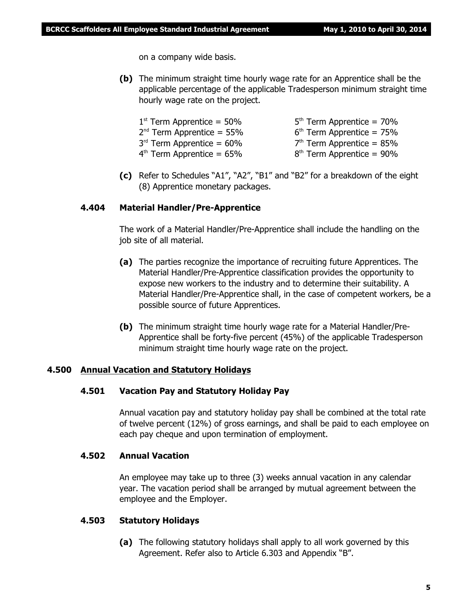on a company wide basis.

**(b)** The minimum straight time hourly wage rate for an Apprentice shall be the applicable percentage of the applicable Tradesperson minimum straight time hourly wage rate on the project.

| $1st$ Term Apprentice = 50% | $5th$ Term Apprentice = 70% |
|-----------------------------|-----------------------------|
| $2nd$ Term Apprentice = 55% | $6th$ Term Apprentice = 75% |
| $3rd$ Term Apprentice = 60% | $7th$ Term Apprentice = 85% |
| $4th$ Term Apprentice = 65% | $8th$ Term Apprentice = 90% |

**(c)** Refer to Schedules "A1", "A2", "B1" and "B2" for a breakdown of the eight (8) Apprentice monetary packages.

#### **4.404 Material Handler/Pre-Apprentice**

The work of a Material Handler/Pre-Apprentice shall include the handling on the job site of all material.

- **(a)** The parties recognize the importance of recruiting future Apprentices. The Material Handler/Pre-Apprentice classification provides the opportunity to expose new workers to the industry and to determine their suitability. A Material Handler/Pre-Apprentice shall, in the case of competent workers, be a possible source of future Apprentices.
- **(b)** The minimum straight time hourly wage rate for a Material Handler/Pre-Apprentice shall be forty-five percent (45%) of the applicable Tradesperson minimum straight time hourly wage rate on the project.

#### **4.500 Annual Vacation and Statutory Holidays**

#### **4.501 Vacation Pay and Statutory Holiday Pay**

Annual vacation pay and statutory holiday pay shall be combined at the total rate of twelve percent (12%) of gross earnings, and shall be paid to each employee on each pay cheque and upon termination of employment.

#### **4.502 Annual Vacation**

An employee may take up to three (3) weeks annual vacation in any calendar year. The vacation period shall be arranged by mutual agreement between the employee and the Employer.

#### **4.503 Statutory Holidays**

**(a)** The following statutory holidays shall apply to all work governed by this Agreement. Refer also to Article 6.303 and Appendix "B".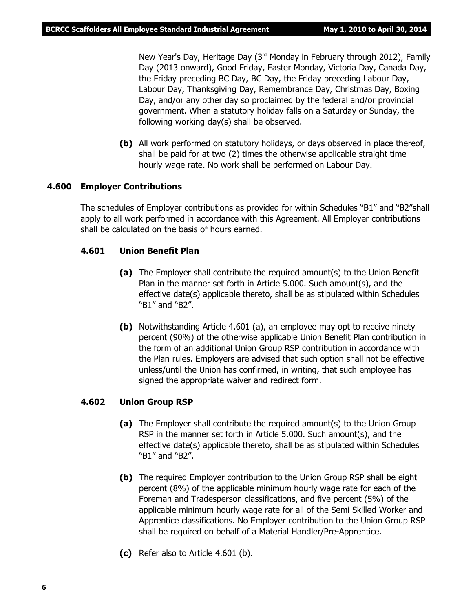New Year's Day, Heritage Day (3<sup>rd</sup> Monday in February through 2012), Family Day (2013 onward), Good Friday, Easter Monday, Victoria Day, Canada Day, the Friday preceding BC Day, BC Day, the Friday preceding Labour Day, Labour Day, Thanksgiving Day, Remembrance Day, Christmas Day, Boxing Day, and/or any other day so proclaimed by the federal and/or provincial government. When a statutory holiday falls on a Saturday or Sunday, the following working day(s) shall be observed.

**(b)** All work performed on statutory holidays, or days observed in place thereof, shall be paid for at two (2) times the otherwise applicable straight time hourly wage rate. No work shall be performed on Labour Day.

#### **4.600 Employer Contributions**

The schedules of Employer contributions as provided for within Schedules "B1" and "B2"shall apply to all work performed in accordance with this Agreement. All Employer contributions shall be calculated on the basis of hours earned.

#### **4.601 Union Benefit Plan**

- **(a)** The Employer shall contribute the required amount(s) to the Union Benefit Plan in the manner set forth in Article 5.000. Such amount(s), and the effective date(s) applicable thereto, shall be as stipulated within Schedules "B1" and "B2".
- **(b)** Notwithstanding Article 4.601 (a), an employee may opt to receive ninety percent (90%) of the otherwise applicable Union Benefit Plan contribution in the form of an additional Union Group RSP contribution in accordance with the Plan rules. Employers are advised that such option shall not be effective unless/until the Union has confirmed, in writing, that such employee has signed the appropriate waiver and redirect form.

#### **4.602 Union Group RSP**

- **(a)** The Employer shall contribute the required amount(s) to the Union Group RSP in the manner set forth in Article 5.000. Such amount(s), and the effective date(s) applicable thereto, shall be as stipulated within Schedules "B1" and "B2".
- **(b)** The required Employer contribution to the Union Group RSP shall be eight percent (8%) of the applicable minimum hourly wage rate for each of the Foreman and Tradesperson classifications, and five percent (5%) of the applicable minimum hourly wage rate for all of the Semi Skilled Worker and Apprentice classifications. No Employer contribution to the Union Group RSP shall be required on behalf of a Material Handler/Pre-Apprentice.
- **(c)** Refer also to Article 4.601 (b).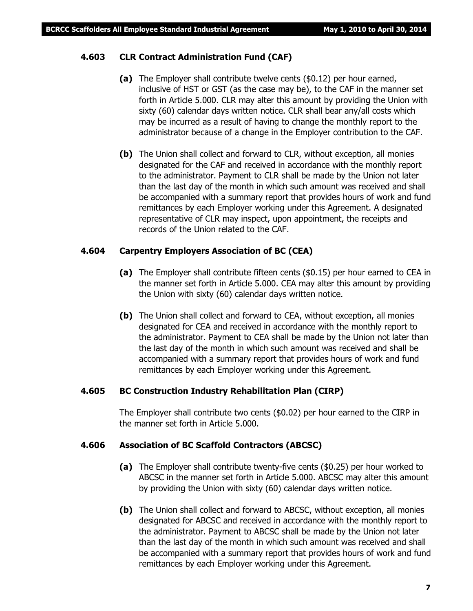#### **4.603 CLR Contract Administration Fund (CAF)**

- **(a)** The Employer shall contribute twelve cents (\$0.12) per hour earned, inclusive of HST or GST (as the case may be), to the CAF in the manner set forth in Article 5.000. CLR may alter this amount by providing the Union with sixty (60) calendar days written notice. CLR shall bear any/all costs which may be incurred as a result of having to change the monthly report to the administrator because of a change in the Employer contribution to the CAF.
- **(b)** The Union shall collect and forward to CLR, without exception, all monies designated for the CAF and received in accordance with the monthly report to the administrator. Payment to CLR shall be made by the Union not later than the last day of the month in which such amount was received and shall be accompanied with a summary report that provides hours of work and fund remittances by each Employer working under this Agreement. A designated representative of CLR may inspect, upon appointment, the receipts and records of the Union related to the CAF.

#### **4.604 Carpentry Employers Association of BC (CEA)**

- **(a)** The Employer shall contribute fifteen cents (\$0.15) per hour earned to CEA in the manner set forth in Article 5.000. CEA may alter this amount by providing the Union with sixty (60) calendar days written notice.
- **(b)** The Union shall collect and forward to CEA, without exception, all monies designated for CEA and received in accordance with the monthly report to the administrator. Payment to CEA shall be made by the Union not later than the last day of the month in which such amount was received and shall be accompanied with a summary report that provides hours of work and fund remittances by each Employer working under this Agreement.

#### **4.605 BC Construction Industry Rehabilitation Plan (CIRP)**

The Employer shall contribute two cents (\$0.02) per hour earned to the CIRP in the manner set forth in Article 5.000.

#### **4.606 Association of BC Scaffold Contractors (ABCSC)**

- **(a)** The Employer shall contribute twenty-five cents (\$0.25) per hour worked to ABCSC in the manner set forth in Article 5.000. ABCSC may alter this amount by providing the Union with sixty (60) calendar days written notice.
- **(b)** The Union shall collect and forward to ABCSC, without exception, all monies designated for ABCSC and received in accordance with the monthly report to the administrator. Payment to ABCSC shall be made by the Union not later than the last day of the month in which such amount was received and shall be accompanied with a summary report that provides hours of work and fund remittances by each Employer working under this Agreement.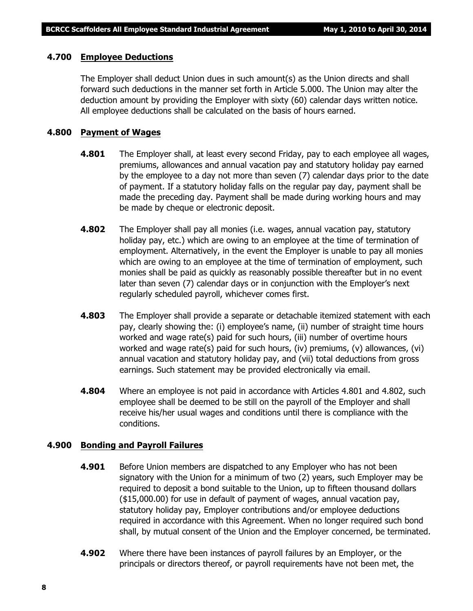#### **4.700 Employee Deductions**

The Employer shall deduct Union dues in such amount(s) as the Union directs and shall forward such deductions in the manner set forth in Article 5.000. The Union may alter the deduction amount by providing the Employer with sixty (60) calendar days written notice. All employee deductions shall be calculated on the basis of hours earned.

#### **4.800 Payment of Wages**

- **4.801** The Employer shall, at least every second Friday, pay to each employee all wages, premiums, allowances and annual vacation pay and statutory holiday pay earned by the employee to a day not more than seven (7) calendar days prior to the date of payment. If a statutory holiday falls on the regular pay day, payment shall be made the preceding day. Payment shall be made during working hours and may be made by cheque or electronic deposit.
- **4.802** The Employer shall pay all monies (i.e. wages, annual vacation pay, statutory holiday pay, etc.) which are owing to an employee at the time of termination of employment. Alternatively, in the event the Employer is unable to pay all monies which are owing to an employee at the time of termination of employment, such monies shall be paid as quickly as reasonably possible thereafter but in no event later than seven (7) calendar days or in conjunction with the Employer's next regularly scheduled payroll, whichever comes first.
- **4.803** The Employer shall provide a separate or detachable itemized statement with each pay, clearly showing the: (i) employee's name, (ii) number of straight time hours worked and wage rate(s) paid for such hours, (iii) number of overtime hours worked and wage rate(s) paid for such hours, (iv) premiums, (v) allowances, (vi) annual vacation and statutory holiday pay, and (vii) total deductions from gross earnings. Such statement may be provided electronically via email.
- **4.804** Where an employee is not paid in accordance with Articles 4.801 and 4.802, such employee shall be deemed to be still on the payroll of the Employer and shall receive his/her usual wages and conditions until there is compliance with the conditions.

#### **4.900 Bonding and Payroll Failures**

- **4.901** Before Union members are dispatched to any Employer who has not been signatory with the Union for a minimum of two (2) years, such Employer may be required to deposit a bond suitable to the Union, up to fifteen thousand dollars (\$15,000.00) for use in default of payment of wages, annual vacation pay, statutory holiday pay, Employer contributions and/or employee deductions required in accordance with this Agreement. When no longer required such bond shall, by mutual consent of the Union and the Employer concerned, be terminated.
- **4.902** Where there have been instances of payroll failures by an Employer, or the principals or directors thereof, or payroll requirements have not been met, the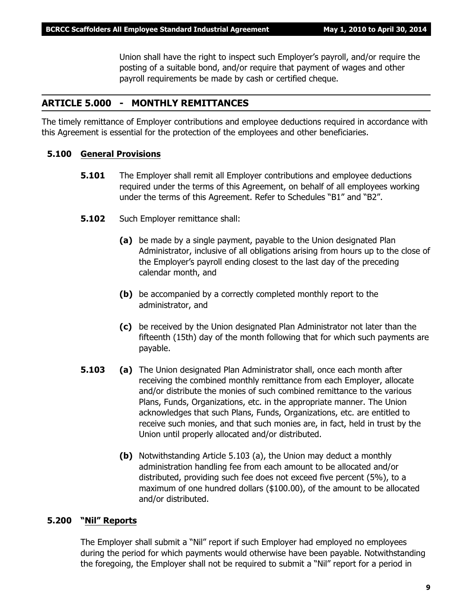Union shall have the right to inspect such Employer's payroll, and/or require the posting of a suitable bond, and/or require that payment of wages and other payroll requirements be made by cash or certified cheque.

#### **ARTICLE 5.000 - MONTHLY REMITTANCES**

The timely remittance of Employer contributions and employee deductions required in accordance with this Agreement is essential for the protection of the employees and other beneficiaries.

#### **5.100 General Provisions**

- **5.101** The Employer shall remit all Employer contributions and employee deductions required under the terms of this Agreement, on behalf of all employees working under the terms of this Agreement. Refer to Schedules "B1" and "B2".
- **5.102** Such Employer remittance shall:
	- **(a)** be made by a single payment, payable to the Union designated Plan Administrator, inclusive of all obligations arising from hours up to the close of the Employer's payroll ending closest to the last day of the preceding calendar month, and
	- **(b)** be accompanied by a correctly completed monthly report to the administrator, and
	- **(c)** be received by the Union designated Plan Administrator not later than the fifteenth (15th) day of the month following that for which such payments are payable.
- **5.103 (a)** The Union designated Plan Administrator shall, once each month after receiving the combined monthly remittance from each Employer, allocate and/or distribute the monies of such combined remittance to the various Plans, Funds, Organizations, etc. in the appropriate manner. The Union acknowledges that such Plans, Funds, Organizations, etc. are entitled to receive such monies, and that such monies are, in fact, held in trust by the Union until properly allocated and/or distributed.
	- **(b)** Notwithstanding Article 5.103 (a), the Union may deduct a monthly administration handling fee from each amount to be allocated and/or distributed, providing such fee does not exceed five percent (5%), to a maximum of one hundred dollars (\$100.00), of the amount to be allocated and/or distributed.

#### **5.200 "Nil" Reports**

The Employer shall submit a "Nil" report if such Employer had employed no employees during the period for which payments would otherwise have been payable. Notwithstanding the foregoing, the Employer shall not be required to submit a "Nil" report for a period in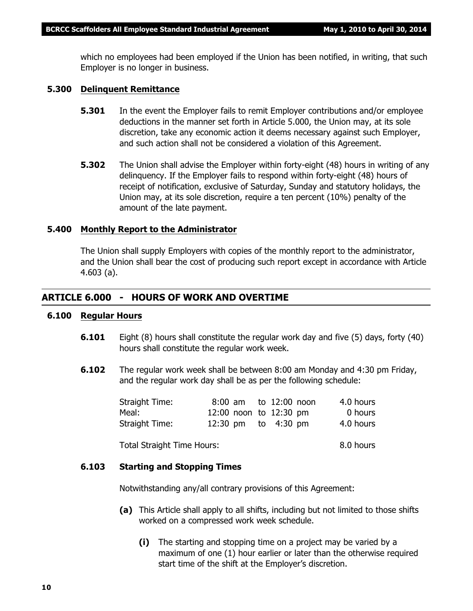which no employees had been employed if the Union has been notified, in writing, that such Employer is no longer in business.

#### **5.300 Delinquent Remittance**

- **5.301** In the event the Employer fails to remit Employer contributions and/or employee deductions in the manner set forth in Article 5.000, the Union may, at its sole discretion, take any economic action it deems necessary against such Employer, and such action shall not be considered a violation of this Agreement.
- **5.302** The Union shall advise the Employer within forty-eight (48) hours in writing of any delinquency. If the Employer fails to respond within forty-eight (48) hours of receipt of notification, exclusive of Saturday, Sunday and statutory holidays, the Union may, at its sole discretion, require a ten percent (10%) penalty of the amount of the late payment.

#### **5.400 Monthly Report to the Administrator**

The Union shall supply Employers with copies of the monthly report to the administrator, and the Union shall bear the cost of producing such report except in accordance with Article 4.603 (a).

#### **ARTICLE 6.000 - HOURS OF WORK AND OVERTIME**

#### **6.100 Regular Hours**

- **6.101** Eight (8) hours shall constitute the regular work day and five (5) days, forty (40) hours shall constitute the regular work week.
- **6.102** The regular work week shall be between 8:00 am Monday and 4:30 pm Friday, and the regular work day shall be as per the following schedule:

| Straight Time: |  | 8:00 am to 12:00 noon  | 4.0 hours |
|----------------|--|------------------------|-----------|
| Meal:          |  | 12:00 noon to 12:30 pm | 0 hours   |
| Straight Time: |  | 12:30 pm to $4:30$ pm  | 4.0 hours |

Total Straight Time Hours: 8.0 hours

#### **6.103 Starting and Stopping Times**

Notwithstanding any/all contrary provisions of this Agreement:

- **(a)** This Article shall apply to all shifts, including but not limited to those shifts worked on a compressed work week schedule.
	- **(i)** The starting and stopping time on a project may be varied by a maximum of one (1) hour earlier or later than the otherwise required start time of the shift at the Employer's discretion.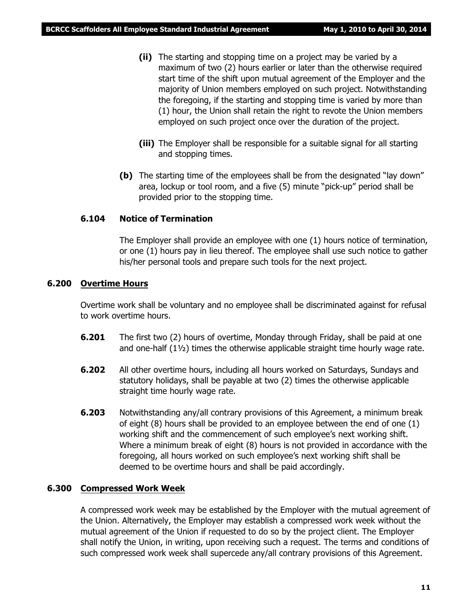- **(ii)** The starting and stopping time on a project may be varied by a maximum of two (2) hours earlier or later than the otherwise required start time of the shift upon mutual agreement of the Employer and the majority of Union members employed on such project. Notwithstanding the foregoing, if the starting and stopping time is varied by more than (1) hour, the Union shall retain the right to revote the Union members employed on such project once over the duration of the project.
- **(iii)** The Employer shall be responsible for a suitable signal for all starting and stopping times.
- **(b)** The starting time of the employees shall be from the designated "lay down" area, lockup or tool room, and a five (5) minute "pick-up" period shall be provided prior to the stopping time.

#### **6.104 Notice of Termination**

The Employer shall provide an employee with one (1) hours notice of termination, or one (1) hours pay in lieu thereof. The employee shall use such notice to gather his/her personal tools and prepare such tools for the next project.

#### **6.200 Overtime Hours**

Overtime work shall be voluntary and no employee shall be discriminated against for refusal to work overtime hours.

- **6.201** The first two (2) hours of overtime, Monday through Friday, shall be paid at one and one-half  $(1\frac{1}{2})$  times the otherwise applicable straight time hourly wage rate.
- **6.202** All other overtime hours, including all hours worked on Saturdays, Sundays and statutory holidays, shall be payable at two (2) times the otherwise applicable straight time hourly wage rate.
- **6.203** Notwithstanding any/all contrary provisions of this Agreement, a minimum break of eight (8) hours shall be provided to an employee between the end of one (1) working shift and the commencement of such employee's next working shift. Where a minimum break of eight (8) hours is not provided in accordance with the foregoing, all hours worked on such employee's next working shift shall be deemed to be overtime hours and shall be paid accordingly.

#### **6.300 Compressed Work Week**

A compressed work week may be established by the Employer with the mutual agreement of the Union. Alternatively, the Employer may establish a compressed work week without the mutual agreement of the Union if requested to do so by the project client. The Employer shall notify the Union, in writing, upon receiving such a request. The terms and conditions of such compressed work week shall supercede any/all contrary provisions of this Agreement.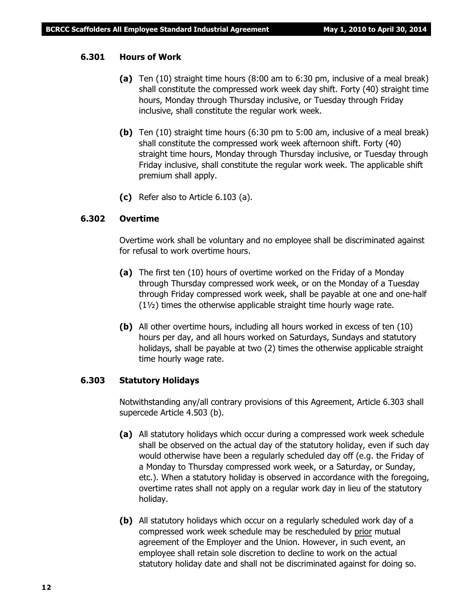#### **6.301 Hours of Work**

- **(a)** Ten (10) straight time hours (8:00 am to 6:30 pm, inclusive of a meal break) shall constitute the compressed work week day shift. Forty (40) straight time hours, Monday through Thursday inclusive, or Tuesday through Friday inclusive, shall constitute the regular work week.
- **(b)** Ten (10) straight time hours (6:30 pm to 5:00 am, inclusive of a meal break) shall constitute the compressed work week afternoon shift. Forty (40) straight time hours, Monday through Thursday inclusive, or Tuesday through Friday inclusive, shall constitute the regular work week. The applicable shift premium shall apply.
- **(c)** Refer also to Article 6.103 (a).

#### **6.302 Overtime**

Overtime work shall be voluntary and no employee shall be discriminated against for refusal to work overtime hours.

- **(a)** The first ten (10) hours of overtime worked on the Friday of a Monday through Thursday compressed work week, or on the Monday of a Tuesday through Friday compressed work week, shall be payable at one and one-half (1½) times the otherwise applicable straight time hourly wage rate.
- **(b)** All other overtime hours, including all hours worked in excess of ten (10) hours per day, and all hours worked on Saturdays, Sundays and statutory holidays, shall be payable at two (2) times the otherwise applicable straight time hourly wage rate.

#### **6.303 Statutory Holidays**

Notwithstanding any/all contrary provisions of this Agreement, Article 6.303 shall supercede Article 4.503 (b).

- **(a)** All statutory holidays which occur during a compressed work week schedule shall be observed on the actual day of the statutory holiday, even if such day would otherwise have been a regularly scheduled day off (e.g. the Friday of a Monday to Thursday compressed work week, or a Saturday, or Sunday, etc.). When a statutory holiday is observed in accordance with the foregoing, overtime rates shall not apply on a regular work day in lieu of the statutory holiday.
- **(b)** All statutory holidays which occur on a regularly scheduled work day of a compressed work week schedule may be rescheduled by prior mutual agreement of the Employer and the Union. However, in such event, an employee shall retain sole discretion to decline to work on the actual statutory holiday date and shall not be discriminated against for doing so.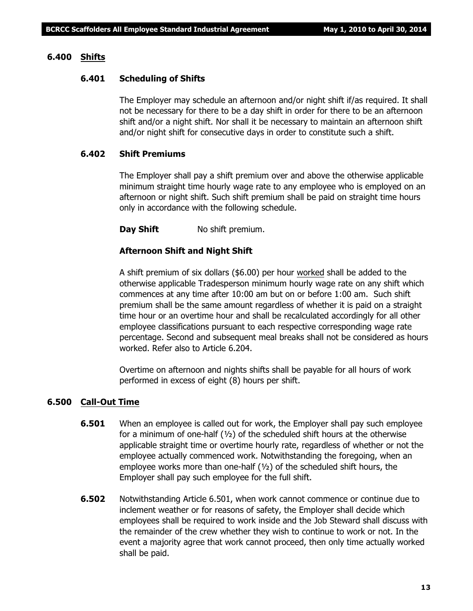#### **6.400 Shifts**

#### **6.401 Scheduling of Shifts**

The Employer may schedule an afternoon and/or night shift if/as required. It shall not be necessary for there to be a day shift in order for there to be an afternoon shift and/or a night shift. Nor shall it be necessary to maintain an afternoon shift and/or night shift for consecutive days in order to constitute such a shift.

#### **6.402 Shift Premiums**

The Employer shall pay a shift premium over and above the otherwise applicable minimum straight time hourly wage rate to any employee who is employed on an afternoon or night shift. Such shift premium shall be paid on straight time hours only in accordance with the following schedule.

**Day Shift** No shift premium.

#### **Afternoon Shift and Night Shift**

A shift premium of six dollars (\$6.00) per hour worked shall be added to the otherwise applicable Tradesperson minimum hourly wage rate on any shift which commences at any time after 10:00 am but on or before 1:00 am. Such shift premium shall be the same amount regardless of whether it is paid on a straight time hour or an overtime hour and shall be recalculated accordingly for all other employee classifications pursuant to each respective corresponding wage rate percentage. Second and subsequent meal breaks shall not be considered as hours worked. Refer also to Article 6.204.

Overtime on afternoon and nights shifts shall be payable for all hours of work performed in excess of eight (8) hours per shift.

#### **6.500 Call-Out Time**

- **6.501** When an employee is called out for work, the Employer shall pay such employee for a minimum of one-half  $(y_2)$  of the scheduled shift hours at the otherwise applicable straight time or overtime hourly rate, regardless of whether or not the employee actually commenced work. Notwithstanding the foregoing, when an employee works more than one-half (½) of the scheduled shift hours, the Employer shall pay such employee for the full shift.
- **6.502** Notwithstanding Article 6.501, when work cannot commence or continue due to inclement weather or for reasons of safety, the Employer shall decide which employees shall be required to work inside and the Job Steward shall discuss with the remainder of the crew whether they wish to continue to work or not. In the event a majority agree that work cannot proceed, then only time actually worked shall be paid.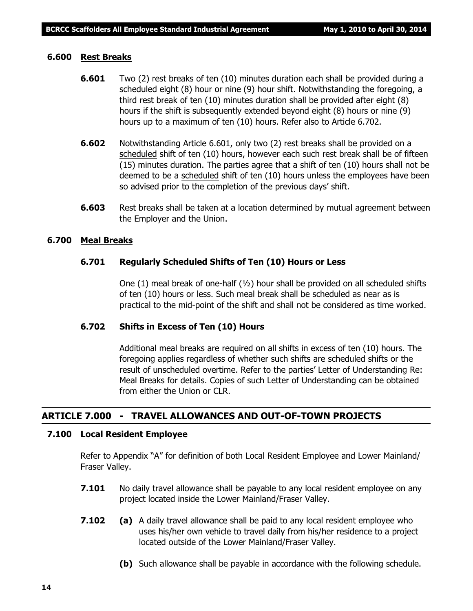#### **6.600 Rest Breaks**

- **6.601** Two (2) rest breaks of ten (10) minutes duration each shall be provided during a scheduled eight (8) hour or nine (9) hour shift. Notwithstanding the foregoing, a third rest break of ten (10) minutes duration shall be provided after eight (8) hours if the shift is subsequently extended beyond eight (8) hours or nine (9) hours up to a maximum of ten (10) hours. Refer also to Article 6.702.
- **6.602** Notwithstanding Article 6.601, only two (2) rest breaks shall be provided on a scheduled shift of ten (10) hours, however each such rest break shall be of fifteen (15) minutes duration. The parties agree that a shift of ten (10) hours shall not be deemed to be a scheduled shift of ten (10) hours unless the employees have been so advised prior to the completion of the previous days' shift.
- **6.603** Rest breaks shall be taken at a location determined by mutual agreement between the Employer and the Union.

#### **6.700 Meal Breaks**

#### **6.701 Regularly Scheduled Shifts of Ten (10) Hours or Less**

One  $(1)$  meal break of one-half  $(\frac{1}{2})$  hour shall be provided on all scheduled shifts of ten (10) hours or less. Such meal break shall be scheduled as near as is practical to the mid-point of the shift and shall not be considered as time worked.

#### **6.702 Shifts in Excess of Ten (10) Hours**

Additional meal breaks are required on all shifts in excess of ten (10) hours. The foregoing applies regardless of whether such shifts are scheduled shifts or the result of unscheduled overtime. Refer to the parties' Letter of Understanding Re: Meal Breaks for details. Copies of such Letter of Understanding can be obtained from either the Union or CLR.

#### **ARTICLE 7.000 - TRAVEL ALLOWANCES AND OUT-OF-TOWN PROJECTS**

#### **7.100 Local Resident Employee**

Refer to Appendix "A" for definition of both Local Resident Employee and Lower Mainland/ Fraser Valley.

- **7.101** No daily travel allowance shall be payable to any local resident employee on any project located inside the Lower Mainland/Fraser Valley.
- **7.102 (a)** A daily travel allowance shall be paid to any local resident employee who uses his/her own vehicle to travel daily from his/her residence to a project located outside of the Lower Mainland/Fraser Valley.
	- **(b)** Such allowance shall be payable in accordance with the following schedule.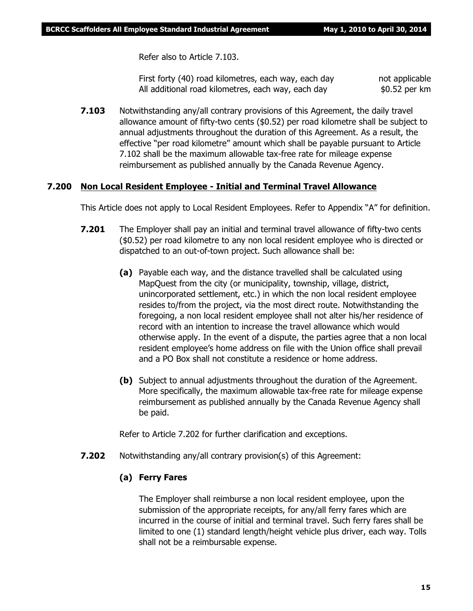Refer also to Article 7.103.

First forty (40) road kilometres, each way, each day not applicable All additional road kilometres, each way, each day  $$0.52$  per km

**7.103** Notwithstanding any/all contrary provisions of this Agreement, the daily travel allowance amount of fifty-two cents (\$0.52) per road kilometre shall be subject to annual adjustments throughout the duration of this Agreement. As a result, the effective "per road kilometre" amount which shall be payable pursuant to Article 7.102 shall be the maximum allowable tax-free rate for mileage expense reimbursement as published annually by the Canada Revenue Agency.

#### **7.200 Non Local Resident Employee - Initial and Terminal Travel Allowance**

This Article does not apply to Local Resident Employees. Refer to Appendix "A" for definition.

- **7.201** The Employer shall pay an initial and terminal travel allowance of fifty-two cents (\$0.52) per road kilometre to any non local resident employee who is directed or dispatched to an out-of-town project. Such allowance shall be:
	- **(a)** Payable each way, and the distance travelled shall be calculated using MapQuest from the city (or municipality, township, village, district, unincorporated settlement, etc.) in which the non local resident employee resides to/from the project, via the most direct route. Notwithstanding the foregoing, a non local resident employee shall not alter his/her residence of record with an intention to increase the travel allowance which would otherwise apply. In the event of a dispute, the parties agree that a non local resident employee's home address on file with the Union office shall prevail and a PO Box shall not constitute a residence or home address.
	- **(b)** Subject to annual adjustments throughout the duration of the Agreement. More specifically, the maximum allowable tax-free rate for mileage expense reimbursement as published annually by the Canada Revenue Agency shall be paid.

Refer to Article 7.202 for further clarification and exceptions.

**7.202** Notwithstanding any/all contrary provision(s) of this Agreement:

#### **(a) Ferry Fares**

The Employer shall reimburse a non local resident employee, upon the submission of the appropriate receipts, for any/all ferry fares which are incurred in the course of initial and terminal travel. Such ferry fares shall be limited to one (1) standard length/height vehicle plus driver, each way. Tolls shall not be a reimbursable expense.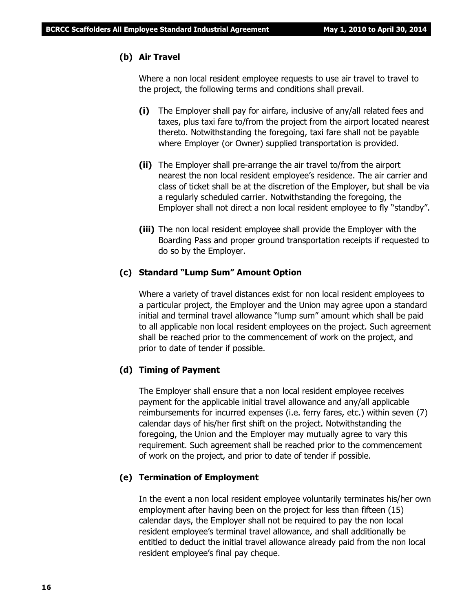#### **(b) Air Travel**

Where a non local resident employee requests to use air travel to travel to the project, the following terms and conditions shall prevail.

- **(i)** The Employer shall pay for airfare, inclusive of any/all related fees and taxes, plus taxi fare to/from the project from the airport located nearest thereto. Notwithstanding the foregoing, taxi fare shall not be payable where Employer (or Owner) supplied transportation is provided.
- **(ii)** The Employer shall pre-arrange the air travel to/from the airport nearest the non local resident employee's residence. The air carrier and class of ticket shall be at the discretion of the Employer, but shall be via a regularly scheduled carrier. Notwithstanding the foregoing, the Employer shall not direct a non local resident employee to fly "standby".
- **(iii)** The non local resident employee shall provide the Employer with the Boarding Pass and proper ground transportation receipts if requested to do so by the Employer.

#### **(c) Standard "Lump Sum" Amount Option**

Where a variety of travel distances exist for non local resident employees to a particular project, the Employer and the Union may agree upon a standard initial and terminal travel allowance "lump sum" amount which shall be paid to all applicable non local resident employees on the project. Such agreement shall be reached prior to the commencement of work on the project, and prior to date of tender if possible.

#### **(d) Timing of Payment**

The Employer shall ensure that a non local resident employee receives payment for the applicable initial travel allowance and any/all applicable reimbursements for incurred expenses (i.e. ferry fares, etc.) within seven (7) calendar days of his/her first shift on the project. Notwithstanding the foregoing, the Union and the Employer may mutually agree to vary this requirement. Such agreement shall be reached prior to the commencement of work on the project, and prior to date of tender if possible.

#### **(e) Termination of Employment**

In the event a non local resident employee voluntarily terminates his/her own employment after having been on the project for less than fifteen (15) calendar days, the Employer shall not be required to pay the non local resident employee's terminal travel allowance, and shall additionally be entitled to deduct the initial travel allowance already paid from the non local resident employee's final pay cheque.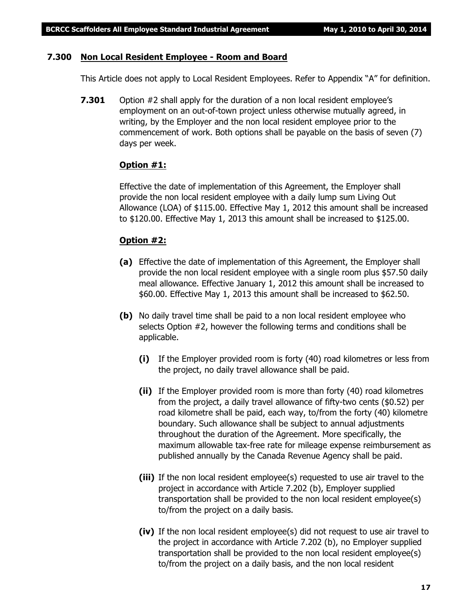#### **7.300 Non Local Resident Employee - Room and Board**

This Article does not apply to Local Resident Employees. Refer to Appendix "A" for definition.

**7.301** Option #2 shall apply for the duration of a non local resident employee's employment on an out-of-town project unless otherwise mutually agreed, in writing, by the Employer and the non local resident employee prior to the commencement of work. Both options shall be payable on the basis of seven (7) days per week.

#### **Option #1:**

Effective the date of implementation of this Agreement, the Employer shall provide the non local resident employee with a daily lump sum Living Out Allowance (LOA) of \$115.00. Effective May 1, 2012 this amount shall be increased to \$120.00. Effective May 1, 2013 this amount shall be increased to \$125.00.

#### **Option #2:**

- **(a)** Effective the date of implementation of this Agreement, the Employer shall provide the non local resident employee with a single room plus \$57.50 daily meal allowance. Effective January 1, 2012 this amount shall be increased to \$60.00. Effective May 1, 2013 this amount shall be increased to \$62.50.
- **(b)** No daily travel time shall be paid to a non local resident employee who selects Option #2, however the following terms and conditions shall be applicable.
	- **(i)** If the Employer provided room is forty (40) road kilometres or less from the project, no daily travel allowance shall be paid.
	- **(ii)** If the Employer provided room is more than forty (40) road kilometres from the project, a daily travel allowance of fifty-two cents (\$0.52) per road kilometre shall be paid, each way, to/from the forty (40) kilometre boundary. Such allowance shall be subject to annual adjustments throughout the duration of the Agreement. More specifically, the maximum allowable tax-free rate for mileage expense reimbursement as published annually by the Canada Revenue Agency shall be paid.
	- **(iii)** If the non local resident employee(s) requested to use air travel to the project in accordance with Article 7.202 (b), Employer supplied transportation shall be provided to the non local resident employee(s) to/from the project on a daily basis.
	- **(iv)** If the non local resident employee(s) did not request to use air travel to the project in accordance with Article 7.202 (b), no Employer supplied transportation shall be provided to the non local resident employee(s) to/from the project on a daily basis, and the non local resident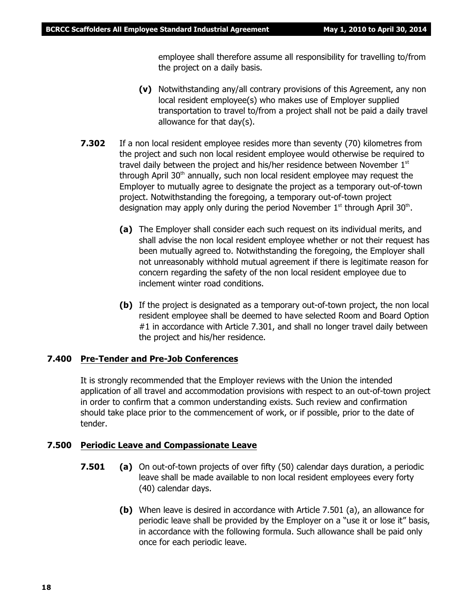employee shall therefore assume all responsibility for travelling to/from the project on a daily basis.

- **(v)** Notwithstanding any/all contrary provisions of this Agreement, any non local resident employee(s) who makes use of Employer supplied transportation to travel to/from a project shall not be paid a daily travel allowance for that day(s).
- **7.302** If a non local resident employee resides more than seventy (70) kilometres from the project and such non local resident employee would otherwise be required to travel daily between the project and his/her residence between November 1st through April  $30<sup>th</sup>$  annually, such non local resident employee may request the Employer to mutually agree to designate the project as a temporary out-of-town project. Notwithstanding the foregoing, a temporary out-of-town project designation may apply only during the period November  $1<sup>st</sup>$  through April 30<sup>th</sup>.
	- **(a)** The Employer shall consider each such request on its individual merits, and shall advise the non local resident employee whether or not their request has been mutually agreed to. Notwithstanding the foregoing, the Employer shall not unreasonably withhold mutual agreement if there is legitimate reason for concern regarding the safety of the non local resident employee due to inclement winter road conditions.
	- **(b)** If the project is designated as a temporary out-of-town project, the non local resident employee shall be deemed to have selected Room and Board Option #1 in accordance with Article 7.301, and shall no longer travel daily between the project and his/her residence.

#### **7.400 Pre-Tender and Pre-Job Conferences**

It is strongly recommended that the Employer reviews with the Union the intended application of all travel and accommodation provisions with respect to an out-of-town project in order to confirm that a common understanding exists. Such review and confirmation should take place prior to the commencement of work, or if possible, prior to the date of tender.

#### **7.500 Periodic Leave and Compassionate Leave**

- **7.501 (a)** On out-of-town projects of over fifty (50) calendar days duration, a periodic leave shall be made available to non local resident employees every forty (40) calendar days.
	- **(b)** When leave is desired in accordance with Article 7.501 (a), an allowance for periodic leave shall be provided by the Employer on a "use it or lose it" basis, in accordance with the following formula. Such allowance shall be paid only once for each periodic leave.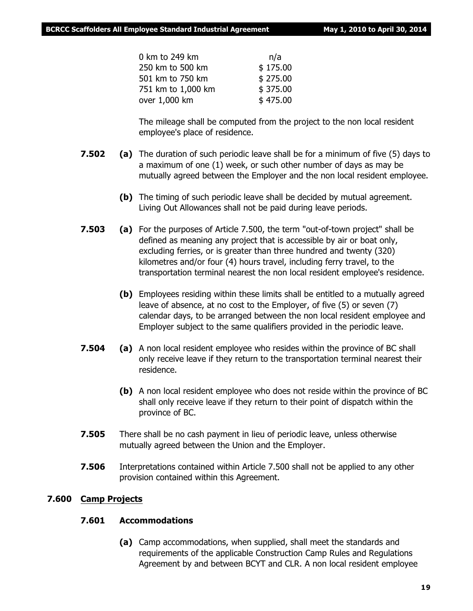| 0 km to 249 km     | n/a      |
|--------------------|----------|
| 250 km to 500 km   | \$175.00 |
| 501 km to 750 km   | \$275.00 |
| 751 km to 1,000 km | \$375.00 |
| over 1,000 km      | \$475.00 |
|                    |          |

The mileage shall be computed from the project to the non local resident employee's place of residence.

- **7.502 (a)** The duration of such periodic leave shall be for a minimum of five (5) days to a maximum of one (1) week, or such other number of days as may be mutually agreed between the Employer and the non local resident employee.
	- **(b)** The timing of such periodic leave shall be decided by mutual agreement. Living Out Allowances shall not be paid during leave periods.
- **7.503 (a)** For the purposes of Article 7.500, the term "out-of-town project" shall be defined as meaning any project that is accessible by air or boat only, excluding ferries, or is greater than three hundred and twenty (320) kilometres and/or four (4) hours travel, including ferry travel, to the transportation terminal nearest the non local resident employee's residence.
	- **(b)** Employees residing within these limits shall be entitled to a mutually agreed leave of absence, at no cost to the Employer, of five (5) or seven (7) calendar days, to be arranged between the non local resident employee and Employer subject to the same qualifiers provided in the periodic leave.
- **7.504 (a)** A non local resident employee who resides within the province of BC shall only receive leave if they return to the transportation terminal nearest their residence.
	- **(b)** A non local resident employee who does not reside within the province of BC shall only receive leave if they return to their point of dispatch within the province of BC.
- **7.505** There shall be no cash payment in lieu of periodic leave, unless otherwise mutually agreed between the Union and the Employer.
- **7.506** Interpretations contained within Article 7.500 shall not be applied to any other provision contained within this Agreement.

#### **7.600 Camp Projects**

#### **7.601 Accommodations**

**(a)** Camp accommodations, when supplied, shall meet the standards and requirements of the applicable Construction Camp Rules and Regulations Agreement by and between BCYT and CLR. A non local resident employee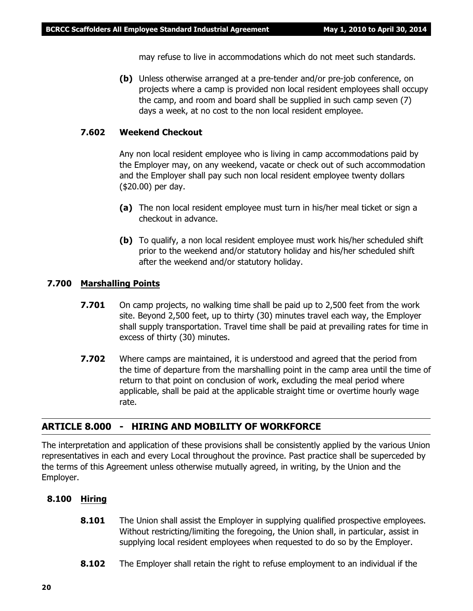may refuse to live in accommodations which do not meet such standards.

**(b)** Unless otherwise arranged at a pre-tender and/or pre-job conference, on projects where a camp is provided non local resident employees shall occupy the camp, and room and board shall be supplied in such camp seven (7) days a week, at no cost to the non local resident employee.

#### **7.602 Weekend Checkout**

Any non local resident employee who is living in camp accommodations paid by the Employer may, on any weekend, vacate or check out of such accommodation and the Employer shall pay such non local resident employee twenty dollars (\$20.00) per day.

- **(a)** The non local resident employee must turn in his/her meal ticket or sign a checkout in advance.
- **(b)** To qualify, a non local resident employee must work his/her scheduled shift prior to the weekend and/or statutory holiday and his/her scheduled shift after the weekend and/or statutory holiday.

#### **7.700 Marshalling Points**

- **7.701** On camp projects, no walking time shall be paid up to 2,500 feet from the work site. Beyond 2,500 feet, up to thirty (30) minutes travel each way, the Employer shall supply transportation. Travel time shall be paid at prevailing rates for time in excess of thirty (30) minutes.
- **7.702** Where camps are maintained, it is understood and agreed that the period from the time of departure from the marshalling point in the camp area until the time of return to that point on conclusion of work, excluding the meal period where applicable, shall be paid at the applicable straight time or overtime hourly wage rate.

#### **ARTICLE 8.000 - HIRING AND MOBILITY OF WORKFORCE**

The interpretation and application of these provisions shall be consistently applied by the various Union representatives in each and every Local throughout the province. Past practice shall be superceded by the terms of this Agreement unless otherwise mutually agreed, in writing, by the Union and the Employer.

#### **8.100 Hiring**

- **8.101** The Union shall assist the Employer in supplying qualified prospective employees. Without restricting/limiting the foregoing, the Union shall, in particular, assist in supplying local resident employees when requested to do so by the Employer.
- **8.102** The Employer shall retain the right to refuse employment to an individual if the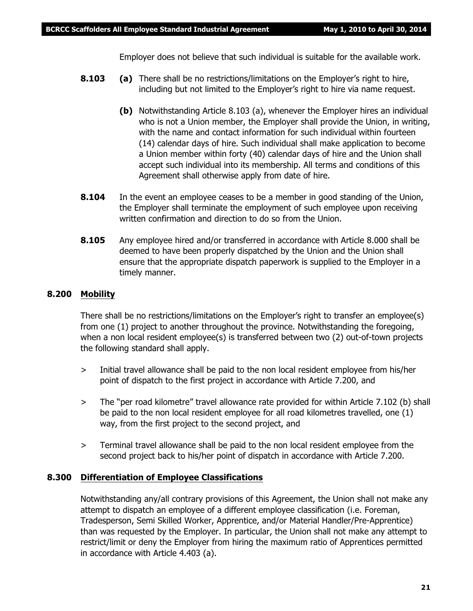Employer does not believe that such individual is suitable for the available work.

- **8.103 (a)** There shall be no restrictions/limitations on the Employer's right to hire, including but not limited to the Employer's right to hire via name request.
	- **(b)** Notwithstanding Article 8.103 (a), whenever the Employer hires an individual who is not a Union member, the Employer shall provide the Union, in writing, with the name and contact information for such individual within fourteen (14) calendar days of hire. Such individual shall make application to become a Union member within forty (40) calendar days of hire and the Union shall accept such individual into its membership. All terms and conditions of this Agreement shall otherwise apply from date of hire.
- **8.104** In the event an employee ceases to be a member in good standing of the Union, the Employer shall terminate the employment of such employee upon receiving written confirmation and direction to do so from the Union.
- **8.105** Any employee hired and/or transferred in accordance with Article 8.000 shall be deemed to have been properly dispatched by the Union and the Union shall ensure that the appropriate dispatch paperwork is supplied to the Employer in a timely manner.

#### **8.200 Mobility**

There shall be no restrictions/limitations on the Employer's right to transfer an employee(s) from one (1) project to another throughout the province. Notwithstanding the foregoing, when a non local resident employee(s) is transferred between two (2) out-of-town projects the following standard shall apply.

- > Initial travel allowance shall be paid to the non local resident employee from his/her point of dispatch to the first project in accordance with Article 7.200, and
- > The "per road kilometre" travel allowance rate provided for within Article 7.102 (b) shall be paid to the non local resident employee for all road kilometres travelled, one (1) way, from the first project to the second project, and
- > Terminal travel allowance shall be paid to the non local resident employee from the second project back to his/her point of dispatch in accordance with Article 7.200.

#### **8.300 Differentiation of Employee Classifications**

Notwithstanding any/all contrary provisions of this Agreement, the Union shall not make any attempt to dispatch an employee of a different employee classification (i.e. Foreman, Tradesperson, Semi Skilled Worker, Apprentice, and/or Material Handler/Pre-Apprentice) than was requested by the Employer. In particular, the Union shall not make any attempt to restrict/limit or deny the Employer from hiring the maximum ratio of Apprentices permitted in accordance with Article 4.403 (a).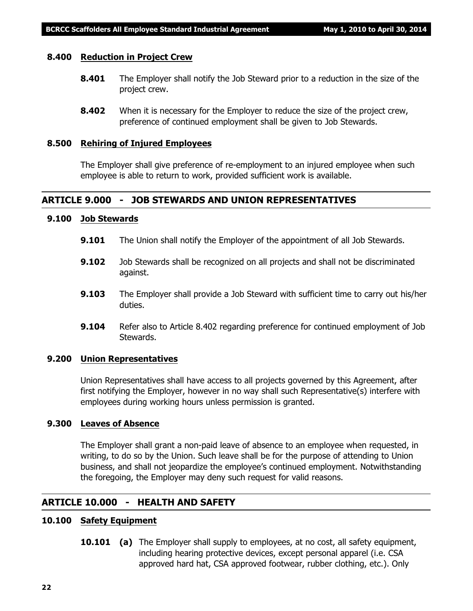#### **8.400 Reduction in Project Crew**

- **8.401** The Employer shall notify the Job Steward prior to a reduction in the size of the project crew.
- **8.402** When it is necessary for the Employer to reduce the size of the project crew, preference of continued employment shall be given to Job Stewards.

#### **8.500 Rehiring of Injured Employees**

The Employer shall give preference of re-employment to an injured employee when such employee is able to return to work, provided sufficient work is available.

#### **ARTICLE 9.000 - JOB STEWARDS AND UNION REPRESENTATIVES**

#### **9.100 Job Stewards**

- **9.101** The Union shall notify the Employer of the appointment of all Job Stewards.
- **9.102** Job Stewards shall be recognized on all projects and shall not be discriminated against.
- **9.103** The Employer shall provide a Job Steward with sufficient time to carry out his/her duties.
- **9.104** Refer also to Article 8.402 regarding preference for continued employment of Job Stewards.

#### **9.200 Union Representatives**

Union Representatives shall have access to all projects governed by this Agreement, after first notifying the Employer, however in no way shall such Representative(s) interfere with employees during working hours unless permission is granted.

#### **9.300 Leaves of Absence**

The Employer shall grant a non-paid leave of absence to an employee when requested, in writing, to do so by the Union. Such leave shall be for the purpose of attending to Union business, and shall not jeopardize the employee's continued employment. Notwithstanding the foregoing, the Employer may deny such request for valid reasons.

#### **ARTICLE 10.000 - HEALTH AND SAFETY**

#### **10.100 Safety Equipment**

**10.101 (a)** The Employer shall supply to employees, at no cost, all safety equipment, including hearing protective devices, except personal apparel (i.e. CSA approved hard hat, CSA approved footwear, rubber clothing, etc.). Only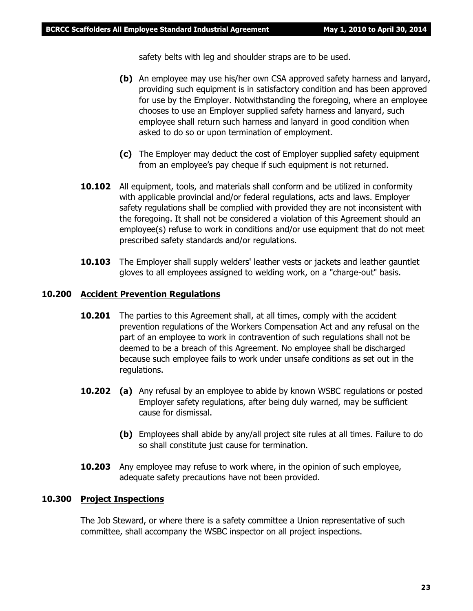safety belts with leg and shoulder straps are to be used.

- **(b)** An employee may use his/her own CSA approved safety harness and lanyard, providing such equipment is in satisfactory condition and has been approved for use by the Employer. Notwithstanding the foregoing, where an employee chooses to use an Employer supplied safety harness and lanyard, such employee shall return such harness and lanyard in good condition when asked to do so or upon termination of employment.
- **(c)** The Employer may deduct the cost of Employer supplied safety equipment from an employee's pay cheque if such equipment is not returned.
- **10.102** All equipment, tools, and materials shall conform and be utilized in conformity with applicable provincial and/or federal regulations, acts and laws. Employer safety regulations shall be complied with provided they are not inconsistent with the foregoing. It shall not be considered a violation of this Agreement should an employee(s) refuse to work in conditions and/or use equipment that do not meet prescribed safety standards and/or regulations.
- **10.103** The Employer shall supply welders' leather vests or jackets and leather gauntlet gloves to all employees assigned to welding work, on a "charge-out" basis.

#### **10.200 Accident Prevention Regulations**

- **10.201** The parties to this Agreement shall, at all times, comply with the accident prevention regulations of the *Workers Compensation Act* and any refusal on the part of an employee to work in contravention of such regulations shall not be deemed to be a breach of this Agreement. No employee shall be discharged because such employee fails to work under unsafe conditions as set out in the regulations.
- **10.202 (a)** Any refusal by an employee to abide by known WSBC regulations or posted Employer safety regulations, after being duly warned, may be sufficient cause for dismissal.
	- **(b)** Employees shall abide by any/all project site rules at all times. Failure to do so shall constitute just cause for termination.
- **10.203** Any employee may refuse to work where, in the opinion of such employee, adequate safety precautions have not been provided.

#### **10.300 Project Inspections**

The Job Steward, or where there is a safety committee a Union representative of such committee, shall accompany the WSBC inspector on all project inspections.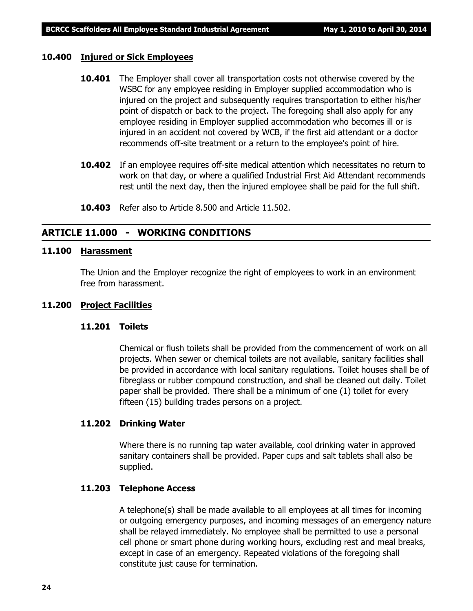#### **10.400 Injured or Sick Employees**

- **10.401** The Employer shall cover all transportation costs not otherwise covered by the WSBC for any employee residing in Employer supplied accommodation who is injured on the project and subsequently requires transportation to either his/her point of dispatch or back to the project. The foregoing shall also apply for any employee residing in Employer supplied accommodation who becomes ill or is injured in an accident not covered by WCB, if the first aid attendant or a doctor recommends off-site treatment or a return to the employee's point of hire.
- **10.402** If an employee requires off-site medical attention which necessitates no return to work on that day, or where a qualified Industrial First Aid Attendant recommends rest until the next day, then the injured employee shall be paid for the full shift.
- **10.403** Refer also to Article 8.500 and Article 11.502.

#### **ARTICLE 11.000 - WORKING CONDITIONS**

#### **11.100 Harassment**

The Union and the Employer recognize the right of employees to work in an environment free from harassment.

#### **11.200 Project Facilities**

#### **11.201 Toilets**

Chemical or flush toilets shall be provided from the commencement of work on all projects. When sewer or chemical toilets are not available, sanitary facilities shall be provided in accordance with local sanitary regulations. Toilet houses shall be of fibreglass or rubber compound construction, and shall be cleaned out daily. Toilet paper shall be provided. There shall be a minimum of one (1) toilet for every fifteen (15) building trades persons on a project.

#### **11.202 Drinking Water**

Where there is no running tap water available, cool drinking water in approved sanitary containers shall be provided. Paper cups and salt tablets shall also be supplied.

#### **11.203 Telephone Access**

A telephone(s) shall be made available to all employees at all times for incoming or outgoing emergency purposes, and incoming messages of an emergency nature shall be relayed immediately. No employee shall be permitted to use a personal cell phone or smart phone during working hours, excluding rest and meal breaks, except in case of an emergency. Repeated violations of the foregoing shall constitute just cause for termination.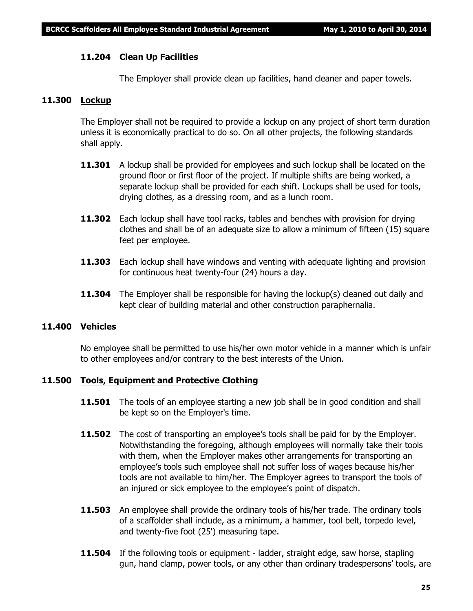#### **11.204 Clean Up Facilities**

The Employer shall provide clean up facilities, hand cleaner and paper towels.

#### **11.300 Lockup**

The Employer shall not be required to provide a lockup on any project of short term duration unless it is economically practical to do so. On all other projects, the following standards shall apply.

- **11.301** A lockup shall be provided for employees and such lockup shall be located on the ground floor or first floor of the project. If multiple shifts are being worked, a separate lockup shall be provided for each shift. Lockups shall be used for tools, drying clothes, as a dressing room, and as a lunch room.
- **11.302** Each lockup shall have tool racks, tables and benches with provision for drying clothes and shall be of an adequate size to allow a minimum of fifteen (15) square feet per employee.
- **11.303** Each lockup shall have windows and venting with adequate lighting and provision for continuous heat twenty-four (24) hours a day.
- **11.304** The Employer shall be responsible for having the lockup(s) cleaned out daily and kept clear of building material and other construction paraphernalia.

#### **11.400 Vehicles**

No employee shall be permitted to use his/her own motor vehicle in a manner which is unfair to other employees and/or contrary to the best interests of the Union.

#### **11.500 Tools, Equipment and Protective Clothing**

- **11.501** The tools of an employee starting a new job shall be in good condition and shall be kept so on the Employer's time.
- **11.502** The cost of transporting an employee's tools shall be paid for by the Employer. Notwithstanding the foregoing, although employees will normally take their tools with them, when the Employer makes other arrangements for transporting an employee's tools such employee shall not suffer loss of wages because his/her tools are not available to him/her. The Employer agrees to transport the tools of an injured or sick employee to the employee's point of dispatch.
- **11.503** An employee shall provide the ordinary tools of his/her trade. The ordinary tools of a scaffolder shall include, as a minimum, a hammer, tool belt, torpedo level, and twenty-five foot (25') measuring tape.
- **11.504** If the following tools or equipment ladder, straight edge, saw horse, stapling gun, hand clamp, power tools, or any other than ordinary tradespersons' tools, are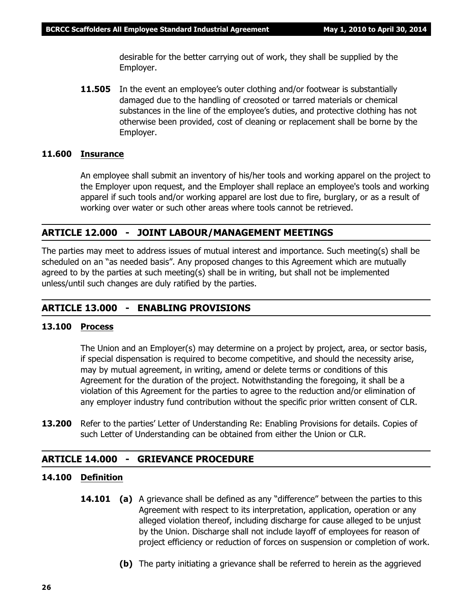desirable for the better carrying out of work, they shall be supplied by the Employer.

**11.505** In the event an employee's outer clothing and/or footwear is substantially damaged due to the handling of creosoted or tarred materials or chemical substances in the line of the employee's duties, and protective clothing has not otherwise been provided, cost of cleaning or replacement shall be borne by the Employer.

#### **11.600 Insurance**

An employee shall submit an inventory of his/her tools and working apparel on the project to the Employer upon request, and the Employer shall replace an employee's tools and working apparel if such tools and/or working apparel are lost due to fire, burglary, or as a result of working over water or such other areas where tools cannot be retrieved.

#### **ARTICLE 12.000 - JOINT LABOUR/MANAGEMENT MEETINGS**

The parties may meet to address issues of mutual interest and importance. Such meeting(s) shall be scheduled on an "as needed basis". Any proposed changes to this Agreement which are mutually agreed to by the parties at such meeting(s) shall be in writing, but shall not be implemented unless/until such changes are duly ratified by the parties.

#### **ARTICLE 13.000 - ENABLING PROVISIONS**

#### **13.100 Process**

The Union and an Employer(s) may determine on a project by project, area, or sector basis, if special dispensation is required to become competitive, and should the necessity arise, may by mutual agreement, in writing, amend or delete terms or conditions of this Agreement for the duration of the project. Notwithstanding the foregoing, it shall be a violation of this Agreement for the parties to agree to the reduction and/or elimination of any employer industry fund contribution without the specific prior written consent of CLR.

**13.200** Refer to the parties' Letter of Understanding Re: Enabling Provisions for details. Copies of such Letter of Understanding can be obtained from either the Union or CLR.

#### **ARTICLE 14.000 - GRIEVANCE PROCEDURE**

#### **14.100 Definition**

- **14.101 (a)** A grievance shall be defined as any "difference" between the parties to this Agreement with respect to its interpretation, application, operation or any alleged violation thereof, including discharge for cause alleged to be unjust by the Union. Discharge shall not include layoff of employees for reason of project efficiency or reduction of forces on suspension or completion of work.
	- **(b)** The party initiating a grievance shall be referred to herein as the aggrieved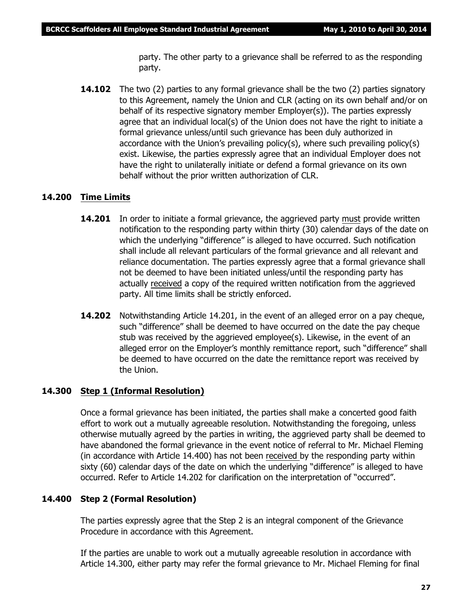party. The other party to a grievance shall be referred to as the responding party.

**14.102** The two (2) parties to any formal grievance shall be the two (2) parties signatory to this Agreement, namely the Union and CLR (acting on its own behalf and/or on behalf of its respective signatory member Employer(s)). The parties expressly agree that an individual local(s) of the Union does not have the right to initiate a formal grievance unless/until such grievance has been duly authorized in accordance with the Union's prevailing policy(s), where such prevailing policy(s) exist. Likewise, the parties expressly agree that an individual Employer does not have the right to unilaterally initiate or defend a formal grievance on its own behalf without the prior written authorization of CLR.

#### **14.200 Time Limits**

- **14.201** In order to initiate a formal grievance, the aggrieved party must provide written notification to the responding party within thirty (30) calendar days of the date on which the underlying "difference" is alleged to have occurred. Such notification shall include all relevant particulars of the formal grievance and all relevant and reliance documentation. The parties expressly agree that a formal grievance shall not be deemed to have been initiated unless/until the responding party has actually received a copy of the required written notification from the aggrieved party. All time limits shall be strictly enforced.
- **14.202** Notwithstanding Article 14.201, in the event of an alleged error on a pay cheque, such "difference" shall be deemed to have occurred on the date the pay cheque stub was received by the aggrieved employee(s). Likewise, in the event of an alleged error on the Employer's monthly remittance report, such "difference" shall be deemed to have occurred on the date the remittance report was received by the Union.

#### **14.300 Step 1 (Informal Resolution)**

Once a formal grievance has been initiated, the parties shall make a concerted good faith effort to work out a mutually agreeable resolution. Notwithstanding the foregoing, unless otherwise mutually agreed by the parties in writing, the aggrieved party shall be deemed to have abandoned the formal grievance in the event notice of referral to Mr. Michael Fleming (in accordance with Article 14.400) has not been received by the responding party within sixty (60) calendar days of the date on which the underlying "difference" is alleged to have occurred. Refer to Article 14.202 for clarification on the interpretation of "occurred".

#### **14.400 Step 2 (Formal Resolution)**

The parties expressly agree that the Step 2 is an integral component of the Grievance Procedure in accordance with this Agreement.

If the parties are unable to work out a mutually agreeable resolution in accordance with Article 14.300, either party may refer the formal grievance to Mr. Michael Fleming for final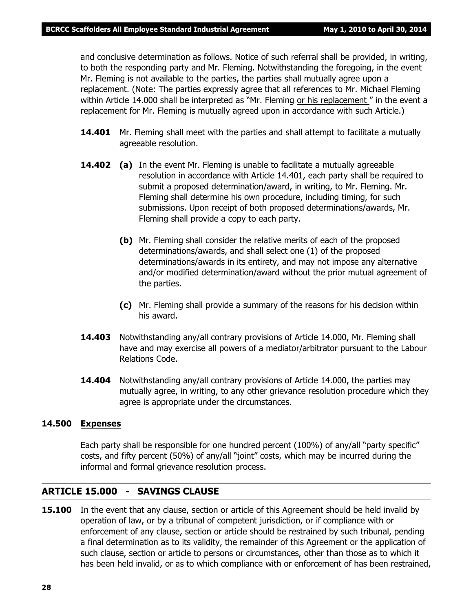and conclusive determination as follows. Notice of such referral shall be provided, in writing, to both the responding party and Mr. Fleming. Notwithstanding the foregoing, in the event Mr. Fleming is not available to the parties, the parties shall mutually agree upon a replacement. (Note: The parties expressly agree that all references to Mr. Michael Fleming within Article 14.000 shall be interpreted as *"Mr. Fleming or his replacement "* in the event a replacement for Mr. Fleming is mutually agreed upon in accordance with such Article.)

- **14.401** Mr. Fleming shall meet with the parties and shall attempt to facilitate a mutually agreeable resolution.
- **14.402 (a)** In the event Mr. Fleming is unable to facilitate a mutually agreeable resolution in accordance with Article 14.401, each party shall be required to submit a proposed determination/award, in writing, to Mr. Fleming. Mr. Fleming shall determine his own procedure, including timing, for such submissions. Upon receipt of both proposed determinations/awards, Mr. Fleming shall provide a copy to each party.
	- **(b)** Mr. Fleming shall consider the relative merits of each of the proposed determinations/awards, and shall select one (1) of the proposed determinations/awards in its entirety, and may not impose any alternative and/or modified determination/award without the prior mutual agreement of the parties.
	- **(c)** Mr. Fleming shall provide a summary of the reasons for his decision within his award.
- **14.403** Notwithstanding any/all contrary provisions of Article 14.000, Mr. Fleming shall have and may exercise all powers of a mediator/arbitrator pursuant to the *Labour Relations Code.*
- **14.404** Notwithstanding any/all contrary provisions of Article 14.000, the parties may mutually agree, in writing, to any other grievance resolution procedure which they agree is appropriate under the circumstances.

#### **14.500 Expenses**

Each party shall be responsible for one hundred percent (100%) of any/all "party specific" costs, and fifty percent (50%) of any/all "joint" costs, which may be incurred during the informal and formal grievance resolution process.

#### **ARTICLE 15.000 - SAVINGS CLAUSE**

**15.100** In the event that any clause, section or article of this Agreement should be held invalid by operation of law, or by a tribunal of competent jurisdiction, or if compliance with or enforcement of any clause, section or article should be restrained by such tribunal, pending a final determination as to its validity, the remainder of this Agreement or the application of such clause, section or article to persons or circumstances, other than those as to which it has been held invalid, or as to which compliance with or enforcement of has been restrained,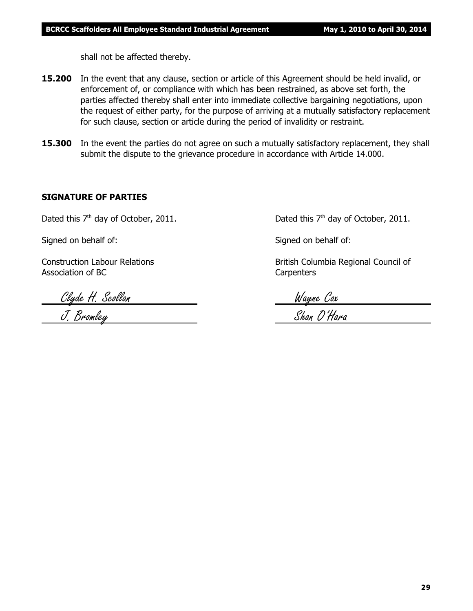shall not be affected thereby.

- **15.200** In the event that any clause, section or article of this Agreement should be held invalid, or enforcement of, or compliance with which has been restrained, as above set forth, the parties affected thereby shall enter into immediate collective bargaining negotiations, upon the request of either party, for the purpose of arriving at a mutually satisfactory replacement for such clause, section or article during the period of invalidity or restraint.
- **15.300** In the event the parties do not agree on such a mutually satisfactory replacement, they shall submit the dispute to the grievance procedure in accordance with Article 14.000.

#### **SIGNATURE OF PARTIES**

Signed on behalf of: Signed on behalf of:

Association of BC Carpenters

Clyde H. Scollan Wayne Cox

Dated this  $7<sup>th</sup>$  day of October, 2011. Dated this  $7<sup>th</sup>$  day of October, 2011.

Construction Labour Relations **British Columbia Regional Council of** British Columbia Regional Council of

J. Bromley Shan O'Hara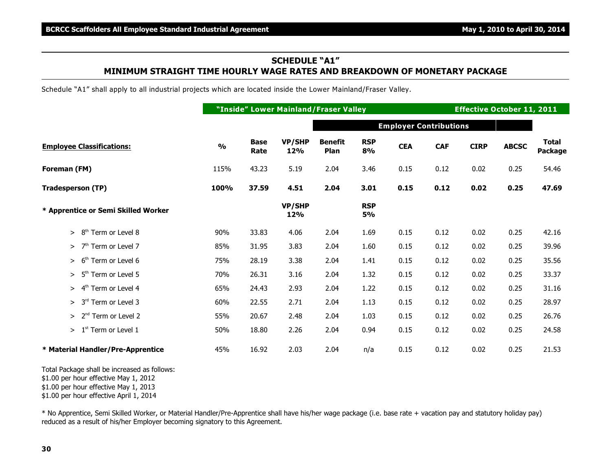### **SCHEDULE "A1" MINIMUM STRAIGHT TIME HOURLY WAGE RATES AND BREAKDOWN OF MONETARY PACKAGE**

Schedule "A1" shall apply to all industrial projects which are located inside the Lower Mainland/Fraser Valley.

|                                           |               |                     |                      | "Inside" Lower Mainland/Fraser Valley |                  |                               |            | <b>Effective October 11, 2011</b> |              |                         |
|-------------------------------------------|---------------|---------------------|----------------------|---------------------------------------|------------------|-------------------------------|------------|-----------------------------------|--------------|-------------------------|
|                                           |               |                     |                      |                                       |                  | <b>Employer Contributions</b> |            |                                   |              |                         |
| <b>Employee Classifications:</b>          | $\frac{0}{0}$ | <b>Base</b><br>Rate | <b>VP/SHP</b><br>12% | <b>Benefit</b><br>Plan                | <b>RSP</b><br>8% | <b>CEA</b>                    | <b>CAF</b> | <b>CIRP</b>                       | <b>ABCSC</b> | <b>Total</b><br>Package |
| Foreman (FM)                              | 115%          | 43.23               | 5.19                 | 2.04                                  | 3.46             | 0.15                          | 0.12       | 0.02                              | 0.25         | 54.46                   |
| <b>Tradesperson (TP)</b>                  | 100%          | 37.59               | 4.51                 | 2.04                                  | 3.01             | 0.15                          | 0.12       | 0.02                              | 0.25         | 47.69                   |
| * Apprentice or Semi Skilled Worker       |               |                     | <b>VP/SHP</b><br>12% |                                       | <b>RSP</b><br>5% |                               |            |                                   |              |                         |
| $> 8th$ Term or Level 8                   | 90%           | 33.83               | 4.06                 | 2.04                                  | 1.69             | 0.15                          | 0.12       | 0.02                              | 0.25         | 42.16                   |
| $>7th$ Term or Level 7                    | 85%           | 31.95               | 3.83                 | 2.04                                  | 1.60             | 0.15                          | 0.12       | 0.02                              | 0.25         | 39.96                   |
| 6 <sup>th</sup> Term or Level 6<br>⋗      | 75%           | 28.19               | 3.38                 | 2.04                                  | 1.41             | 0.15                          | 0.12       | 0.02                              | 0.25         | 35.56                   |
| 5 <sup>th</sup> Term or Level 5<br>>      | 70%           | 26.31               | 3.16                 | 2.04                                  | 1.32             | 0.15                          | 0.12       | 0.02                              | 0.25         | 33.37                   |
| 4 <sup>th</sup> Term or Level 4<br>$\geq$ | 65%           | 24.43               | 2.93                 | 2.04                                  | 1.22             | 0.15                          | 0.12       | 0.02                              | 0.25         | 31.16                   |
| 3 <sup>rd</sup> Term or Level 3<br>$\geq$ | 60%           | 22.55               | 2.71                 | 2.04                                  | 1.13             | 0.15                          | 0.12       | 0.02                              | 0.25         | 28.97                   |
| 2 <sup>nd</sup> Term or Level 2<br>>      | 55%           | 20.67               | 2.48                 | 2.04                                  | 1.03             | 0.15                          | 0.12       | 0.02                              | 0.25         | 26.76                   |
| $>1st$ Term or Level 1                    | 50%           | 18.80               | 2.26                 | 2.04                                  | 0.94             | 0.15                          | 0.12       | 0.02                              | 0.25         | 24.58                   |
| * Material Handler/Pre-Apprentice         | 45%           | 16.92               | 2.03                 | 2.04                                  | n/a              | 0.15                          | 0.12       | 0.02                              | 0.25         | 21.53                   |

Total Package shall be increased as follows:

\$1.00 per hour effective May 1, 2012

\$1.00 per hour effective May 1, 2013

\$1.00 per hour effective April 1, 2014

\* No Apprentice, Semi Skilled Worker, or Material Handler/Pre-Apprentice shall have his/her wage package (i.e. base rate + vacation pay and statutory holiday pay) reduced as a result of his/her Employer becoming signatory to this Agreement.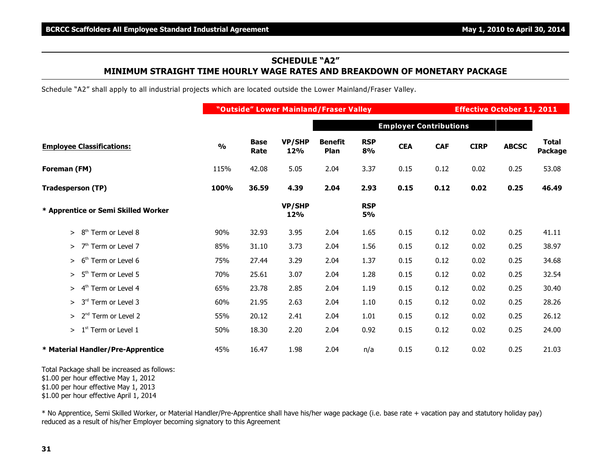### **SCHEDULE "A2" MINIMUM STRAIGHT TIME HOURLY WAGE RATES AND BREAKDOWN OF MONETARY PACKAGE**

Schedule "A2" shall apply to all industrial projects which are located outside the Lower Mainland/Fraser Valley.

|                                           |               |                     |                      | "Outside" Lower Mainland/Fraser Valley |                         |                               |            | <b>Effective October 11, 2011</b> |              |                         |
|-------------------------------------------|---------------|---------------------|----------------------|----------------------------------------|-------------------------|-------------------------------|------------|-----------------------------------|--------------|-------------------------|
|                                           |               |                     |                      |                                        |                         | <b>Employer Contributions</b> |            |                                   |              |                         |
| <b>Employee Classifications:</b>          | $\frac{0}{0}$ | <b>Base</b><br>Rate | <b>VP/SHP</b><br>12% | <b>Benefit</b><br>Plan                 | <b>RSP</b><br>8%        | <b>CEA</b>                    | <b>CAF</b> | <b>CIRP</b>                       | <b>ABCSC</b> | <b>Total</b><br>Package |
| Foreman (FM)                              | 115%          | 42.08               | 5.05                 | 2.04                                   | 3.37                    | 0.15                          | 0.12       | 0.02                              | 0.25         | 53.08                   |
| <b>Tradesperson (TP)</b>                  | 100%          | 36.59               | 4.39                 | 2.04                                   | 2.93                    | 0.15                          | 0.12       | 0.02                              | 0.25         | 46.49                   |
| * Apprentice or Semi Skilled Worker       |               |                     | <b>VP/SHP</b><br>12% |                                        | <b>RSP</b><br><b>5%</b> |                               |            |                                   |              |                         |
| $> 8th$ Term or Level 8                   | 90%           | 32.93               | 3.95                 | 2.04                                   | 1.65                    | 0.15                          | 0.12       | 0.02                              | 0.25         | 41.11                   |
| $>$ 7 <sup>th</sup> Term or Level 7       | 85%           | 31.10               | 3.73                 | 2.04                                   | 1.56                    | 0.15                          | 0.12       | 0.02                              | 0.25         | 38.97                   |
| 6 <sup>th</sup> Term or Level 6<br>$\geq$ | 75%           | 27.44               | 3.29                 | 2.04                                   | 1.37                    | 0.15                          | 0.12       | 0.02                              | 0.25         | 34.68                   |
| 5 <sup>th</sup> Term or Level 5<br>$\geq$ | 70%           | 25.61               | 3.07                 | 2.04                                   | 1.28                    | 0.15                          | 0.12       | 0.02                              | 0.25         | 32.54                   |
| 4 <sup>th</sup> Term or Level 4<br>>      | 65%           | 23.78               | 2.85                 | 2.04                                   | 1.19                    | 0.15                          | 0.12       | 0.02                              | 0.25         | 30.40                   |
| 3rd Term or Level 3<br>>                  | 60%           | 21.95               | 2.63                 | 2.04                                   | 1.10                    | 0.15                          | 0.12       | 0.02                              | 0.25         | 28.26                   |
| 2 <sup>nd</sup> Term or Level 2<br>>      | 55%           | 20.12               | 2.41                 | 2.04                                   | 1.01                    | 0.15                          | 0.12       | 0.02                              | 0.25         | 26.12                   |
| $> 1st$ Term or Level 1                   | 50%           | 18.30               | 2.20                 | 2.04                                   | 0.92                    | 0.15                          | 0.12       | 0.02                              | 0.25         | 24.00                   |
| * Material Handler/Pre-Apprentice         | 45%           | 16.47               | 1.98                 | 2.04                                   | n/a                     | 0.15                          | 0.12       | 0.02                              | 0.25         | 21.03                   |

Total Package shall be increased as follows:

\$1.00 per hour effective May 1, 2012

\$1.00 per hour effective May 1, 2013

\$1.00 per hour effective April 1, 2014

\* No Apprentice, Semi Skilled Worker, or Material Handler/Pre-Apprentice shall have his/her wage package (i.e. base rate + vacation pay and statutory holiday pay) reduced as a result of his/her Employer becoming signatory to this Agreement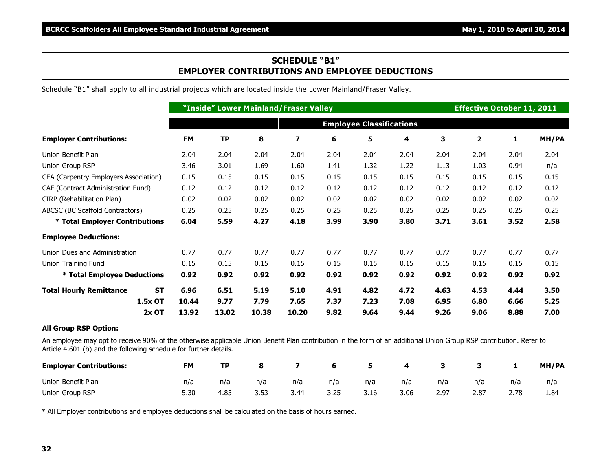#### **SCHEDULE "B1" EMPLOYER CONTRIBUTIONS AND EMPLOYEE DEDUCTIONS**

Schedule "B1" shall apply to all industrial projects which are located inside the Lower Mainland/Fraser Valley.

|                                             |                                 | "Inside" Lower Mainland/Fraser Valley |       |       |      |      |      |      |                         | <b>Effective October 11, 2011</b> |       |  |  |
|---------------------------------------------|---------------------------------|---------------------------------------|-------|-------|------|------|------|------|-------------------------|-----------------------------------|-------|--|--|
|                                             | <b>Employee Classifications</b> |                                       |       |       |      |      |      |      |                         |                                   |       |  |  |
| <b>Employer Contributions:</b>              | <b>FM</b>                       | <b>TP</b>                             | 8     | 7     | 6    | 5    | 4    | 3    | $\overline{\mathbf{2}}$ | 1                                 | MH/PA |  |  |
| Union Benefit Plan                          | 2.04                            | 2.04                                  | 2.04  | 2.04  | 2.04 | 2.04 | 2.04 | 2.04 | 2.04                    | 2.04                              | 2.04  |  |  |
| Union Group RSP                             | 3.46                            | 3.01                                  | 1.69  | 1.60  | 1.41 | 1.32 | 1.22 | 1.13 | 1.03                    | 0.94                              | n/a   |  |  |
| CEA (Carpentry Employers Association)       | 0.15                            | 0.15                                  | 0.15  | 0.15  | 0.15 | 0.15 | 0.15 | 0.15 | 0.15                    | 0.15                              | 0.15  |  |  |
| CAF (Contract Administration Fund)          | 0.12                            | 0.12                                  | 0.12  | 0.12  | 0.12 | 0.12 | 0.12 | 0.12 | 0.12                    | 0.12                              | 0.12  |  |  |
| CIRP (Rehabilitation Plan)                  | 0.02                            | 0.02                                  | 0.02  | 0.02  | 0.02 | 0.02 | 0.02 | 0.02 | 0.02                    | 0.02                              | 0.02  |  |  |
| ABCSC (BC Scaffold Contractors)             | 0.25                            | 0.25                                  | 0.25  | 0.25  | 0.25 | 0.25 | 0.25 | 0.25 | 0.25                    | 0.25                              | 0.25  |  |  |
| * Total Employer Contributions              | 6.04                            | 5.59                                  | 4.27  | 4.18  | 3.99 | 3.90 | 3.80 | 3.71 | 3.61                    | 3.52                              | 2.58  |  |  |
| <b>Employee Deductions:</b>                 |                                 |                                       |       |       |      |      |      |      |                         |                                   |       |  |  |
| Union Dues and Administration               | 0.77                            | 0.77                                  | 0.77  | 0.77  | 0.77 | 0.77 | 0.77 | 0.77 | 0.77                    | 0.77                              | 0.77  |  |  |
| <b>Union Training Fund</b>                  | 0.15                            | 0.15                                  | 0.15  | 0.15  | 0.15 | 0.15 | 0.15 | 0.15 | 0.15                    | 0.15                              | 0.15  |  |  |
| * Total Employee Deductions                 | 0.92                            | 0.92                                  | 0.92  | 0.92  | 0.92 | 0.92 | 0.92 | 0.92 | 0.92                    | 0.92                              | 0.92  |  |  |
| <b>ST</b><br><b>Total Hourly Remittance</b> | 6.96                            | 6.51                                  | 5.19  | 5.10  | 4.91 | 4.82 | 4.72 | 4.63 | 4.53                    | 4.44                              | 3.50  |  |  |
| 1.5x OT                                     | 10.44                           | 9.77                                  | 7.79  | 7.65  | 7.37 | 7.23 | 7.08 | 6.95 | 6.80                    | 6.66                              | 5.25  |  |  |
| $2x$ OT                                     | 13.92                           | 13.02                                 | 10.38 | 10.20 | 9.82 | 9.64 | 9.44 | 9.26 | 9.06                    | 8.88                              | 7.00  |  |  |

#### **All Group RSP Option:**

An employee may opt to receive 90% of the otherwise applicable Union Benefit Plan contribution in the form of an additional Union Group RSP contribution. Refer to Article 4.601 (b) and the following schedule for further details.

| <b>Employer Contributions:</b> | <b>FM</b> | ТP   |      |      |      |      | 4    |      |      |      | MH/PA |
|--------------------------------|-----------|------|------|------|------|------|------|------|------|------|-------|
| Union Benefit Plan             | n/a       | n/a  | n/a  | n/a  | n/a  | n/a  | n/a  | n/a  | n/a  | n/a  | n/a   |
| Union Group RSP                |           | 4.85 | 3.53 | 3.44 | 3.25 | 3.16 | 3.06 | 2.97 | 2.87 | 2.78 | 1.84  |

\* All Employer contributions and employee deductions shall be calculated on the basis of hours earned.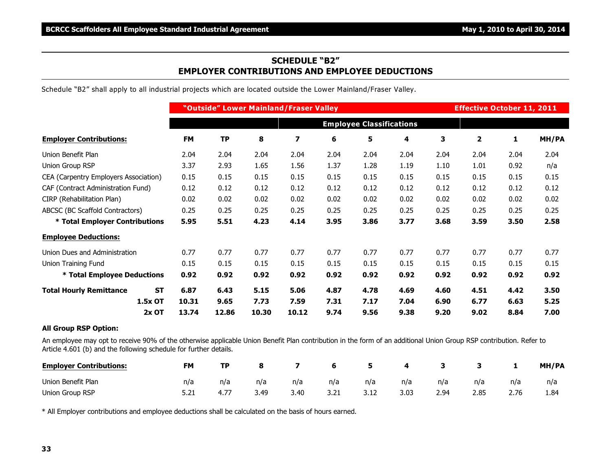#### **SCHEDULE "B2" EMPLOYER CONTRIBUTIONS AND EMPLOYEE DEDUCTIONS**

Schedule "B2" shall apply to all industrial projects which are located outside the Lower Mainland/Fraser Valley.

|                                             | "Outside" Lower Mainland/Fraser Valley |               |               |               |              | <b>Effective October 11, 2011</b> |              |              |                         |              |              |
|---------------------------------------------|----------------------------------------|---------------|---------------|---------------|--------------|-----------------------------------|--------------|--------------|-------------------------|--------------|--------------|
|                                             | <b>Employee Classifications</b>        |               |               |               |              |                                   |              |              |                         |              |              |
| <b>Employer Contributions:</b>              | <b>FM</b>                              | <b>TP</b>     | 8             | 7             | 6            | 5                                 | 4            | 3            | $\overline{\mathbf{2}}$ | $\mathbf{1}$ | MH/PA        |
| Union Benefit Plan                          | 2.04                                   | 2.04          | 2.04          | 2.04          | 2.04         | 2.04                              | 2.04         | 2.04         | 2.04                    | 2.04         | 2.04         |
| Union Group RSP                             | 3.37                                   | 2.93          | 1.65          | 1.56          | 1.37         | 1.28                              | 1.19         | 1.10         | 1.01                    | 0.92         | n/a          |
| CEA (Carpentry Employers Association)       | 0.15                                   | 0.15          | 0.15          | 0.15          | 0.15         | 0.15                              | 0.15         | 0.15         | 0.15                    | 0.15         | 0.15         |
| CAF (Contract Administration Fund)          | 0.12                                   | 0.12          | 0.12          | 0.12          | 0.12         | 0.12                              | 0.12         | 0.12         | 0.12                    | 0.12         | 0.12         |
| CIRP (Rehabilitation Plan)                  | 0.02                                   | 0.02          | 0.02          | 0.02          | 0.02         | 0.02                              | 0.02         | 0.02         | 0.02                    | 0.02         | 0.02         |
| ABCSC (BC Scaffold Contractors)             | 0.25                                   | 0.25          | 0.25          | 0.25          | 0.25         | 0.25                              | 0.25         | 0.25         | 0.25                    | 0.25         | 0.25         |
| * Total Employer Contributions              | 5.95                                   | 5.51          | 4.23          | 4.14          | 3.95         | 3.86                              | 3.77         | 3.68         | 3.59                    | 3.50         | 2.58         |
| <b>Employee Deductions:</b>                 |                                        |               |               |               |              |                                   |              |              |                         |              |              |
| Union Dues and Administration               | 0.77                                   | 0.77          | 0.77          | 0.77          | 0.77         | 0.77                              | 0.77         | 0.77         | 0.77                    | 0.77         | 0.77         |
| Union Training Fund                         | 0.15                                   | 0.15          | 0.15          | 0.15          | 0.15         | 0.15                              | 0.15         | 0.15         | 0.15                    | 0.15         | 0.15         |
| * Total Employee Deductions                 | 0.92                                   | 0.92          | 0.92          | 0.92          | 0.92         | 0.92                              | 0.92         | 0.92         | 0.92                    | 0.92         | 0.92         |
| <b>ST</b><br><b>Total Hourly Remittance</b> | 6.87                                   | 6.43          | 5.15          | 5.06          | 4.87         | 4.78                              | 4.69         | 4.60         | 4.51                    | 4.42         | 3.50         |
| 1.5x OT<br>$2x$ OT                          | 10.31<br>13.74                         | 9.65<br>12.86 | 7.73<br>10.30 | 7.59<br>10.12 | 7.31<br>9.74 | 7.17<br>9.56                      | 7.04<br>9.38 | 6.90<br>9.20 | 6.77<br>9.02            | 6.63<br>8.84 | 5.25<br>7.00 |

#### **All Group RSP Option:**

An employee may opt to receive 90% of the otherwise applicable Union Benefit Plan contribution in the form of an additional Union Group RSP contribution. Refer to Article 4.601 (b) and the following schedule for further details.

| <b>Employer Contributions:</b> | <b>FM</b> | TP.  |      |      | - 6  | -5   | 4    |      |      |      | MH/PA |
|--------------------------------|-----------|------|------|------|------|------|------|------|------|------|-------|
| Union Benefit Plan             | n/a       | n/a  | n/a  | n/a  | n/a  | n/a  | n/a  | n/a  | n/a  | n/a  | n/a   |
| Union Group RSP                |           | 4.77 | 3.49 | 3.40 | 3.21 | 3.12 | 3.03 | 2.94 | 2.85 | 2.76 | 1.84  |

\* All Employer contributions and employee deductions shall be calculated on the basis of hours earned.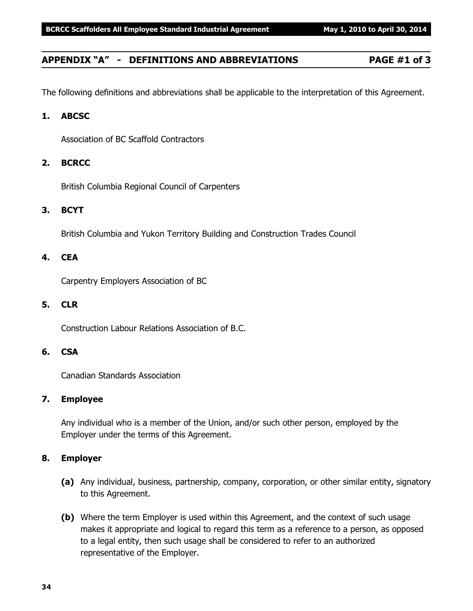### **APPENDIX "A" - DEFINITIONS AND ABBREVIATIONS PAGE #1 of 3**

The following definitions and abbreviations shall be applicable to the interpretation of this Agreement.

#### **1. ABCSC**

Association of BC Scaffold Contractors

#### **2. BCRCC**

British Columbia Regional Council of Carpenters

#### **3. BCYT**

British Columbia and Yukon Territory Building and Construction Trades Council

#### **4. CEA**

Carpentry Employers Association of BC

#### **5. CLR**

Construction Labour Relations Association of B.C.

#### **6. CSA**

Canadian Standards Association

#### **7. Employee**

Any individual who is a member of the Union, and/or such other person, employed by the Employer under the terms of this Agreement.

#### **8. Employer**

- **(a)** Any individual, business, partnership, company, corporation, or other similar entity, signatory to this Agreement.
- **(b)** Where the term Employer is used within this Agreement, and the context of such usage makes it appropriate and logical to regard this term as a reference to a person, as opposed to a legal entity, then such usage shall be considered to refer to an authorized representative of the Employer.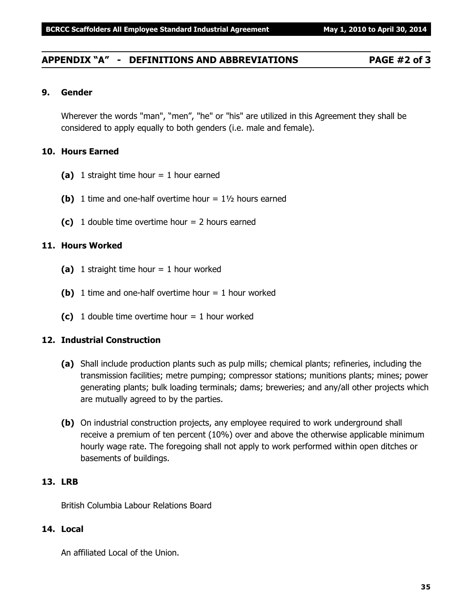#### **APPENDIX "A" - DEFINITIONS AND ABBREVIATIONS PAGE #2 of 3**

#### **9. Gender**

Wherever the words "man", "men", "he" or "his" are utilized in this Agreement they shall be considered to apply equally to both genders (i.e. male and female).

#### **10. Hours Earned**

- **(a)** 1 straight time hour = 1 hour earned
- **(b)** 1 time and one-half overtime hour  $= 1\frac{1}{2}$  hours earned
- **(c)** 1 double time overtime hour = 2 hours earned

#### **11. Hours Worked**

- **(a)** 1 straight time hour = 1 hour worked
- **(b)** 1 time and one-half overtime hour  $= 1$  hour worked
- **(c)** 1 double time overtime hour = 1 hour worked

#### **12. Industrial Construction**

- **(a)** Shall include production plants such as pulp mills; chemical plants; refineries, including the transmission facilities; metre pumping; compressor stations; munitions plants; mines; power generating plants; bulk loading terminals; dams; breweries; and any/all other projects which are mutually agreed to by the parties.
- **(b)** On industrial construction projects, any employee required to work underground shall receive a premium of ten percent (10%) over and above the otherwise applicable minimum hourly wage rate. The foregoing shall not apply to work performed within open ditches or basements of buildings.

#### **13. LRB**

British Columbia Labour Relations Board

#### **14. Local**

An affiliated Local of the Union.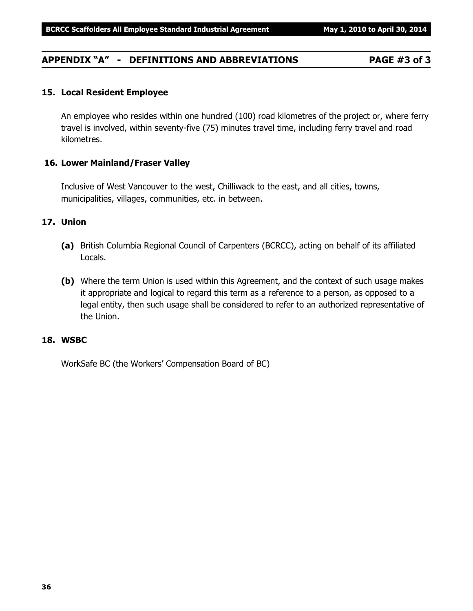## **APPENDIX "A" - DEFINITIONS AND ABBREVIATIONS PAGE #3 of 3**

#### **15. Local Resident Employee**

An employee who resides within one hundred (100) road kilometres of the project or, where ferry travel is involved, within seventy-five (75) minutes travel time, including ferry travel and road kilometres.

#### **16. Lower Mainland/Fraser Valley**

Inclusive of West Vancouver to the west, Chilliwack to the east, and all cities, towns, municipalities, villages, communities, etc. in between.

#### **17. Union**

- **(a)** British Columbia Regional Council of Carpenters (BCRCC), acting on behalf of its affiliated Locals.
- **(b)** Where the term Union is used within this Agreement, and the context of such usage makes it appropriate and logical to regard this term as a reference to a person, as opposed to a legal entity, then such usage shall be considered to refer to an authorized representative of the Union.

#### **18. WSBC**

WorkSafe BC (the Workers' Compensation Board of BC)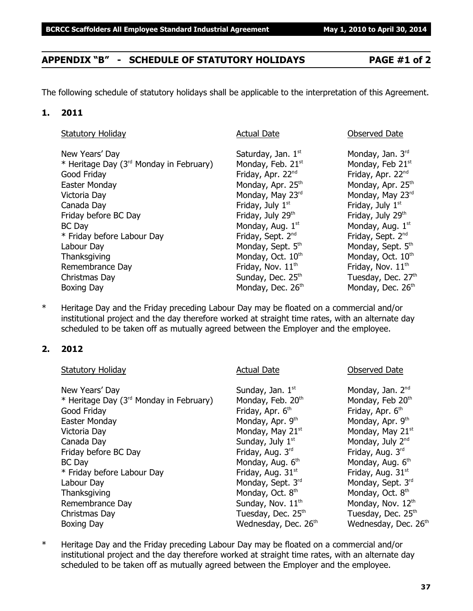## **APPENDIX "B" - SCHEDULE OF STATUTORY HOLIDAYS PAGE #1 of 2**

The following schedule of statutory holidays shall be applicable to the interpretation of this Agreement.

#### **1. 2011**

| New Years' Day                                      | Saturday, Jan. 1st            | Monday, Jan. $3rd$            |
|-----------------------------------------------------|-------------------------------|-------------------------------|
| * Heritage Day (3 <sup>rd</sup> Monday in February) | Monday, Feb. 21 <sup>st</sup> | Monday, Feb 21st              |
| Good Friday                                         | Friday, Apr. 22 <sup>nd</sup> | Friday, Apr. 22nd             |
| Easter Monday                                       | Monday, Apr. 25 <sup>th</sup> | Monday, Apr. 25 <sup>th</sup> |
| Victoria Day                                        | Monday, May 23rd              | Monday, May 23rd              |
| Canada Day                                          | Friday, July 1st              | Friday, July 1st              |
| Friday before BC Day                                | Friday, July 29th             | Friday, July 29th             |
| <b>BC</b> Day                                       | Monday, Aug. 1st              | Monday, Aug. 1st              |
| * Friday before Labour Day                          | Friday, Sept. 2 <sup>nd</sup> | Friday, Sept. 2 <sup>nd</sup> |
| Labour Day                                          | Monday, Sept. 5th             | Monday, Sept. 5th             |
| Thanksgiving                                        | Monday, Oct. 10th             | Monday, Oct. 10th             |
| Remembrance Day                                     | Friday, Nov. 11 <sup>th</sup> | Friday, Nov. 11 <sup>th</sup> |
| Christmas Day                                       | Sunday, Dec. 25th             | Tuesday, Dec. 27th            |
| Boxing Day                                          | Monday, Dec. 26th             | Monday, Dec. 26th             |

\* Heritage Day and the Friday preceding Labour Day may be floated on a commercial and/or institutional project and the day therefore worked at straight time rates, with an alternate day scheduled to be taken off as mutually agreed between the Employer and the employee.

#### **2. 2012**

| <b>Actual Date</b>            | <b>Observed Date</b>             |
|-------------------------------|----------------------------------|
| Sunday, Jan. 1st              | Monday, Jan. 2 <sup>nd</sup>     |
| Monday, Feb. 20th             | Monday, Feb 20th                 |
| Friday, Apr. 6 <sup>th</sup>  | Friday, Apr. 6 <sup>th</sup>     |
| Monday, Apr. 9th              | Monday, Apr. 9th                 |
| Monday, May 21st              | Monday, May 21st                 |
| Sunday, July 1 <sup>st</sup>  | Monday, July 2 <sup>nd</sup>     |
| Friday, Aug. 3rd              | Friday, Aug. 3rd                 |
| Monday, Aug. 6th              | Monday, Aug. 6th                 |
| Friday, Aug. 31 <sup>st</sup> | Friday, Aug. 31 <sup>st</sup>    |
| Monday, Sept. 3rd             | Monday, Sept. 3rd                |
| Monday, Oct. 8th              | Monday, Oct. 8 <sup>th</sup>     |
| Sunday, Nov. 11 <sup>th</sup> | Monday, Nov. 12th                |
| Tuesday, Dec. 25th            | Tuesday, Dec. 25 <sup>th</sup>   |
| Wednesday, Dec. 26th          | Wednesday, Dec. 26 <sup>th</sup> |
|                               |                                  |

\* Heritage Day and the Friday preceding Labour Day may be floated on a commercial and/or institutional project and the day therefore worked at straight time rates, with an alternate day scheduled to be taken off as mutually agreed between the Employer and the employee.